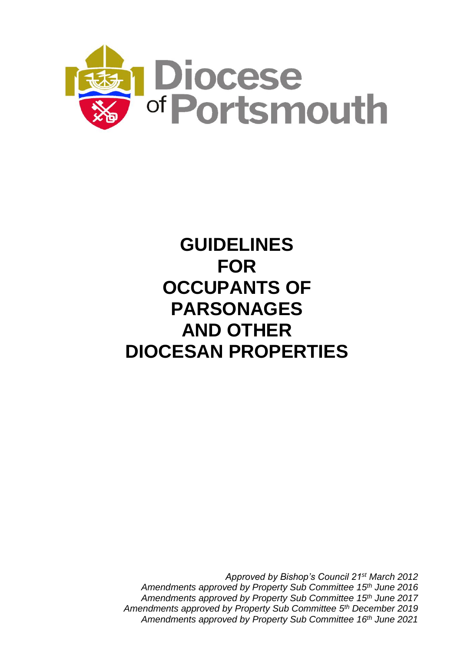

# **GUIDELINES FOR OCCUPANTS OF PARSONAGES AND OTHER DIOCESAN PROPERTIES**

*Approved by Bishop's Council 21st March 2012 Amendments approved by Property Sub Committee 15 th June 2016 Amendments approved by Property Sub Committee 15th June 2017 Amendments approved by Property Sub Committee 5 th December 2019 Amendments approved by Property Sub Committee 16th June 2021*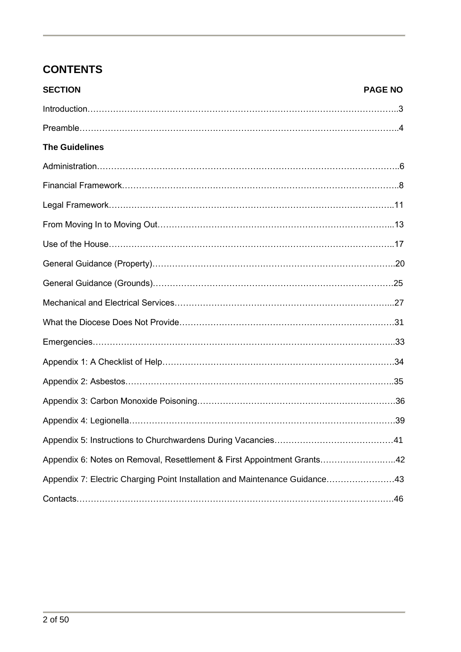# **CONTENTS**

| <b>SECTION</b>                                                              | <b>PAGE NO</b> |
|-----------------------------------------------------------------------------|----------------|
|                                                                             |                |
|                                                                             |                |
| <b>The Guidelines</b>                                                       |                |
|                                                                             |                |
|                                                                             |                |
|                                                                             |                |
|                                                                             |                |
|                                                                             |                |
|                                                                             |                |
|                                                                             |                |
|                                                                             |                |
|                                                                             |                |
|                                                                             |                |
|                                                                             |                |
|                                                                             |                |
|                                                                             |                |
|                                                                             |                |
|                                                                             |                |
| Appendix 6: Notes on Removal, Resettlement & First Appointment Grants42     |                |
| Appendix 7: Electric Charging Point Installation and Maintenance Guidance43 |                |
|                                                                             |                |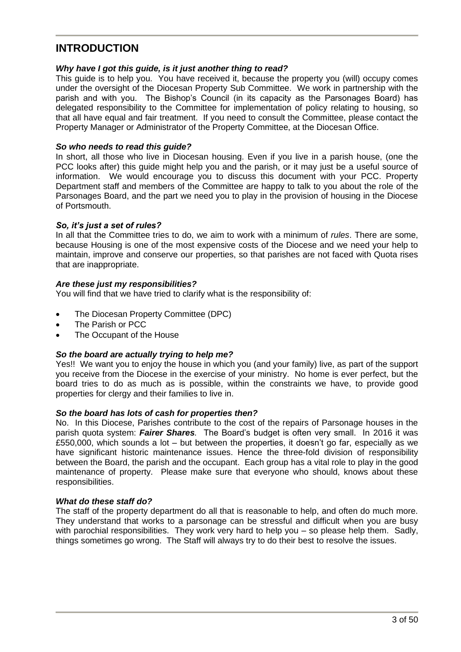### **INTRODUCTION**

#### *Why have I got this guide, is it just another thing to read?*

This guide is to help you. You have received it, because the property you (will) occupy comes under the oversight of the Diocesan Property Sub Committee. We work in partnership with the parish and with you. The Bishop's Council (in its capacity as the Parsonages Board) has delegated responsibility to the Committee for implementation of policy relating to housing, so that all have equal and fair treatment. If you need to consult the Committee, please contact the Property Manager or Administrator of the Property Committee, at the Diocesan Office.

#### *So who needs to read this guide?*

In short, all those who live in Diocesan housing. Even if you live in a parish house, (one the PCC looks after) this guide might help you and the parish, or it may just be a useful source of information. We would encourage you to discuss this document with your PCC. Property Department staff and members of the Committee are happy to talk to you about the role of the Parsonages Board, and the part we need you to play in the provision of housing in the Diocese of Portsmouth.

#### *So, it's just a set of rules?*

In all that the Committee tries to do, we aim to work with a minimum of *rules*. There are some, because Housing is one of the most expensive costs of the Diocese and we need your help to maintain, improve and conserve our properties, so that parishes are not faced with Quota rises that are inappropriate.

#### *Are these just my responsibilities?*

You will find that we have tried to clarify what is the responsibility of:

- The Diocesan Property Committee (DPC)
- The Parish or PCC
- The Occupant of the House

#### *So the board are actually trying to help me?*

Yes!! We want you to enjoy the house in which you (and your family) live, as part of the support you receive from the Diocese in the exercise of your ministry. No home is ever perfect, but the board tries to do as much as is possible, within the constraints we have, to provide good properties for clergy and their families to live in.

#### *So the board has lots of cash for properties then?*

No. In this Diocese, Parishes contribute to the cost of the repairs of Parsonage houses in the parish quota system: *Fairer Shares.* The Board's budget is often very small. In 2016 it was £550,000, which sounds a lot – but between the properties, it doesn't go far, especially as we have significant historic maintenance issues. Hence the three-fold division of responsibility between the Board, the parish and the occupant. Each group has a vital role to play in the good maintenance of property. Please make sure that everyone who should, knows about these responsibilities.

#### *What do these staff do?*

The staff of the property department do all that is reasonable to help, and often do much more. They understand that works to a parsonage can be stressful and difficult when you are busy with parochial responsibilities. They work very hard to help you – so please help them. Sadly, things sometimes go wrong. The Staff will always try to do their best to resolve the issues.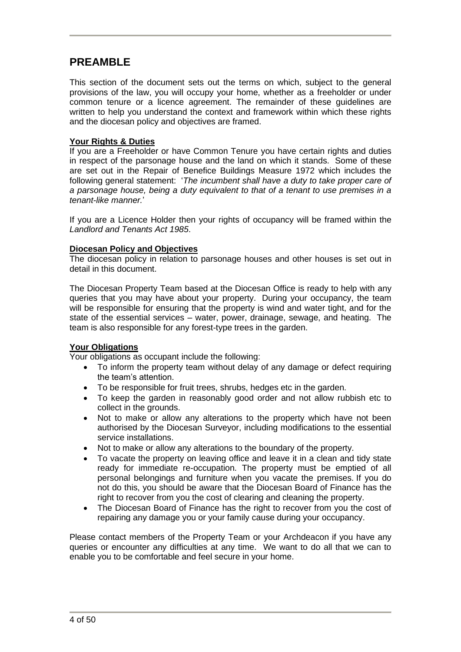### **PREAMBLE**

This section of the document sets out the terms on which, subject to the general provisions of the law, you will occupy your home, whether as a freeholder or under common tenure or a licence agreement. The remainder of these guidelines are written to help you understand the context and framework within which these rights and the diocesan policy and objectives are framed.

#### **Your Rights & Duties**

If you are a Freeholder or have Common Tenure you have certain rights and duties in respect of the parsonage house and the land on which it stands. Some of these are set out in the Repair of Benefice Buildings Measure 1972 which includes the following general statement: '*The incumbent shall have a duty to take proper care of a parsonage house, being a duty equivalent to that of a tenant to use premises in a tenant-like manner.*'

If you are a Licence Holder then your rights of occupancy will be framed within the *Landlord and Tenants Act 1985*.

#### **Diocesan Policy and Objectives**

The diocesan policy in relation to parsonage houses and other houses is set out in detail in this document.

The Diocesan Property Team based at the Diocesan Office is ready to help with any queries that you may have about your property. During your occupancy, the team will be responsible for ensuring that the property is wind and water tight, and for the state of the essential services – water, power, drainage, sewage, and heating. The team is also responsible for any forest-type trees in the garden.

#### **Your Obligations**

Your obligations as occupant include the following:

- To inform the property team without delay of any damage or defect requiring the team's attention.
- To be responsible for fruit trees, shrubs, hedges etc in the garden.
- To keep the garden in reasonably good order and not allow rubbish etc to collect in the grounds.
- Not to make or allow any alterations to the property which have not been authorised by the Diocesan Surveyor, including modifications to the essential service installations.
- Not to make or allow any alterations to the boundary of the property.
- To vacate the property on leaving office and leave it in a clean and tidy state ready for immediate re-occupation. The property must be emptied of all personal belongings and furniture when you vacate the premises. If you do not do this, you should be aware that the Diocesan Board of Finance has the right to recover from you the cost of clearing and cleaning the property.
- The Diocesan Board of Finance has the right to recover from you the cost of repairing any damage you or your family cause during your occupancy.

Please contact members of the Property Team or your Archdeacon if you have any queries or encounter any difficulties at any time. We want to do all that we can to enable you to be comfortable and feel secure in your home.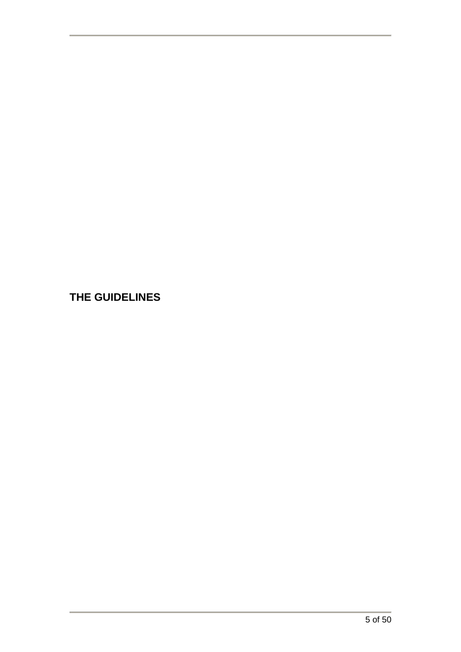**THE GUIDELINES**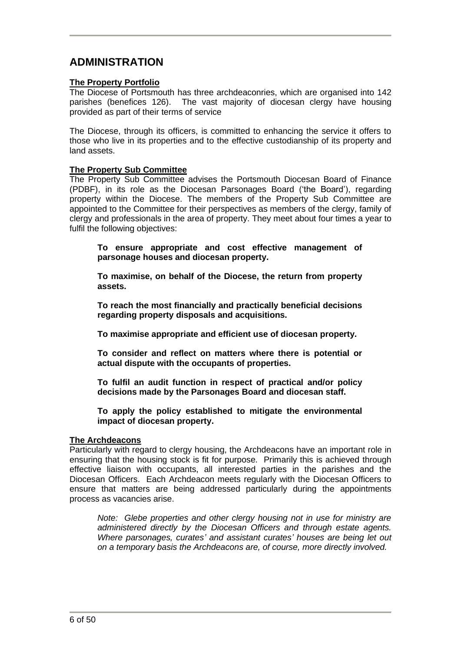# **ADMINISTRATION**

#### **The Property Portfolio**

The Diocese of Portsmouth has three archdeaconries, which are organised into 142 parishes (benefices 126). The vast majority of diocesan clergy have housing provided as part of their terms of service

The Diocese, through its officers, is committed to enhancing the service it offers to those who live in its properties and to the effective custodianship of its property and land assets.

#### **The Property Sub Committee**

The Property Sub Committee advises the Portsmouth Diocesan Board of Finance (PDBF), in its role as the Diocesan Parsonages Board ('the Board'), regarding property within the Diocese. The members of the Property Sub Committee are appointed to the Committee for their perspectives as members of the clergy, family of clergy and professionals in the area of property. They meet about four times a year to fulfil the following objectives:

**To ensure appropriate and cost effective management of parsonage houses and diocesan property.**

**To maximise, on behalf of the Diocese, the return from property assets.**

**To reach the most financially and practically beneficial decisions regarding property disposals and acquisitions.**

**To maximise appropriate and efficient use of diocesan property.**

**To consider and reflect on matters where there is potential or actual dispute with the occupants of properties.**

**To fulfil an audit function in respect of practical and/or policy decisions made by the Parsonages Board and diocesan staff.**

**To apply the policy established to mitigate the environmental impact of diocesan property.**

#### **The Archdeacons**

Particularly with regard to clergy housing, the Archdeacons have an important role in ensuring that the housing stock is fit for purpose. Primarily this is achieved through effective liaison with occupants, all interested parties in the parishes and the Diocesan Officers. Each Archdeacon meets regularly with the Diocesan Officers to ensure that matters are being addressed particularly during the appointments process as vacancies arise.

*Note: Glebe properties and other clergy housing not in use for ministry are administered directly by the Diocesan Officers and through estate agents. Where parsonages, curates' and assistant curates' houses are being let out on a temporary basis the Archdeacons are, of course, more directly involved.*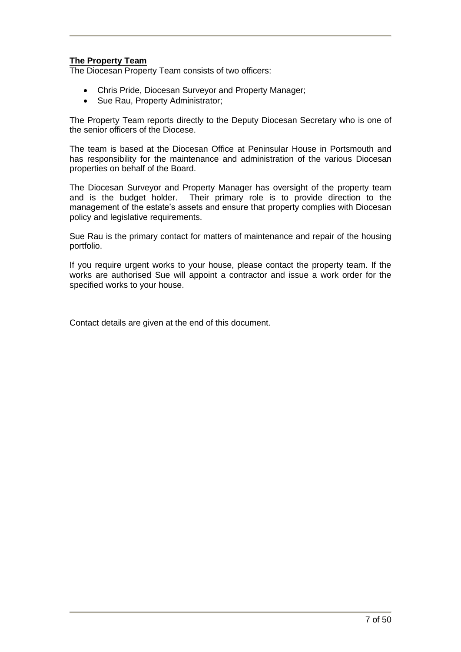#### **The Property Team**

The Diocesan Property Team consists of two officers:

- Chris Pride, Diocesan Surveyor and Property Manager;
- Sue Rau, Property Administrator:

The Property Team reports directly to the Deputy Diocesan Secretary who is one of the senior officers of the Diocese.

The team is based at the Diocesan Office at Peninsular House in Portsmouth and has responsibility for the maintenance and administration of the various Diocesan properties on behalf of the Board.

The Diocesan Surveyor and Property Manager has oversight of the property team and is the budget holder. Their primary role is to provide direction to the management of the estate's assets and ensure that property complies with Diocesan policy and legislative requirements.

Sue Rau is the primary contact for matters of maintenance and repair of the housing portfolio.

If you require urgent works to your house, please contact the property team. If the works are authorised Sue will appoint a contractor and issue a work order for the specified works to your house.

Contact details are given at the end of this document.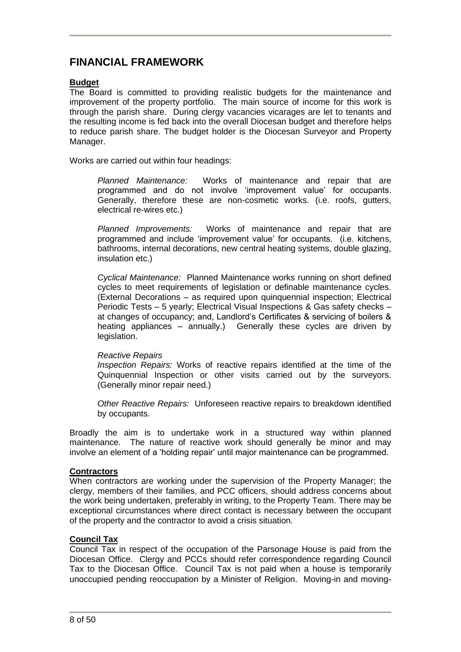### **FINANCIAL FRAMEWORK**

#### **Budget**

The Board is committed to providing realistic budgets for the maintenance and improvement of the property portfolio. The main source of income for this work is through the parish share. During clergy vacancies vicarages are let to tenants and the resulting income is fed back into the overall Diocesan budget and therefore helps to reduce parish share. The budget holder is the Diocesan Surveyor and Property Manager.

Works are carried out within four headings:

*Planned Maintenance:* Works of maintenance and repair that are programmed and do not involve 'improvement value' for occupants. Generally, therefore these are non-cosmetic works. (i.e. roofs, gutters, electrical re-wires etc.)

*Planned Improvements:* Works of maintenance and repair that are programmed and include 'improvement value' for occupants. (i.e. kitchens, bathrooms, internal decorations, new central heating systems, double glazing, insulation etc.)

*Cyclical Maintenance:* Planned Maintenance works running on short defined cycles to meet requirements of legislation or definable maintenance cycles. (External Decorations – as required upon quinquennial inspection; Electrical Periodic Tests – 5 yearly; Electrical Visual Inspections & Gas safety checks – at changes of occupancy; and, Landlord's Certificates & servicing of boilers & heating appliances – annually.) Generally these cycles are driven by legislation.

#### *Reactive Repairs*

*Inspection Repairs:* Works of reactive repairs identified at the time of the Quinquennial Inspection or other visits carried out by the surveyors. (Generally minor repair need.)

*Other Reactive Repairs:* Unforeseen reactive repairs to breakdown identified by occupants.

Broadly the aim is to undertake work in a structured way within planned maintenance. The nature of reactive work should generally be minor and may involve an element of a 'holding repair' until major maintenance can be programmed.

#### **Contractors**

When contractors are working under the supervision of the Property Manager; the clergy, members of their families, and PCC officers, should address concerns about the work being undertaken, preferably in writing, to the Property Team. There may be exceptional circumstances where direct contact is necessary between the occupant of the property and the contractor to avoid a crisis situation.

#### **Council Tax**

Council Tax in respect of the occupation of the Parsonage House is paid from the Diocesan Office. Clergy and PCCs should refer correspondence regarding Council Tax to the Diocesan Office. Council Tax is not paid when a house is temporarily unoccupied pending reoccupation by a Minister of Religion. Moving-in and moving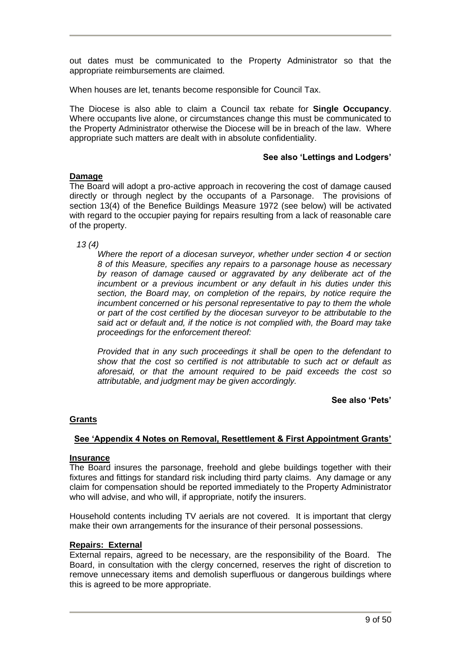out dates must be communicated to the Property Administrator so that the appropriate reimbursements are claimed.

When houses are let, tenants become responsible for Council Tax.

The Diocese is also able to claim a Council tax rebate for **Single Occupancy**. Where occupants live alone, or circumstances change this must be communicated to the Property Administrator otherwise the Diocese will be in breach of the law. Where appropriate such matters are dealt with in absolute confidentiality.

#### **See also 'Lettings and Lodgers'**

#### **Damage**

The Board will adopt a pro-active approach in recovering the cost of damage caused directly or through neglect by the occupants of a Parsonage. The provisions of section 13(4) of the Benefice Buildings Measure 1972 (see below) will be activated with regard to the occupier paying for repairs resulting from a lack of reasonable care of the property.

*13 (4)*

*Where the report of a diocesan surveyor, whether under section 4 or section 8 of this Measure, specifies any repairs to a parsonage house as necessary by reason of damage caused or aggravated by any deliberate act of the incumbent or a previous incumbent or any default in his duties under this section, the Board may, on completion of the repairs, by notice require the incumbent concerned or his personal representative to pay to them the whole or part of the cost certified by the diocesan surveyor to be attributable to the said act or default and, if the notice is not complied with, the Board may take proceedings for the enforcement thereof:*

*Provided that in any such proceedings it shall be open to the defendant to show that the cost so certified is not attributable to such act or default as aforesaid, or that the amount required to be paid exceeds the cost so attributable, and judgment may be given accordingly.*

#### **See also 'Pets'**

#### **Grants**

#### **See 'Appendix 4 Notes on Removal, Resettlement & First Appointment Grants'**

#### **Insurance**

The Board insures the parsonage, freehold and glebe buildings together with their fixtures and fittings for standard risk including third party claims. Any damage or any claim for compensation should be reported immediately to the Property Administrator who will advise, and who will, if appropriate, notify the insurers.

Household contents including TV aerials are not covered. It is important that clergy make their own arrangements for the insurance of their personal possessions.

#### **Repairs: External**

External repairs, agreed to be necessary, are the responsibility of the Board. The Board, in consultation with the clergy concerned, reserves the right of discretion to remove unnecessary items and demolish superfluous or dangerous buildings where this is agreed to be more appropriate.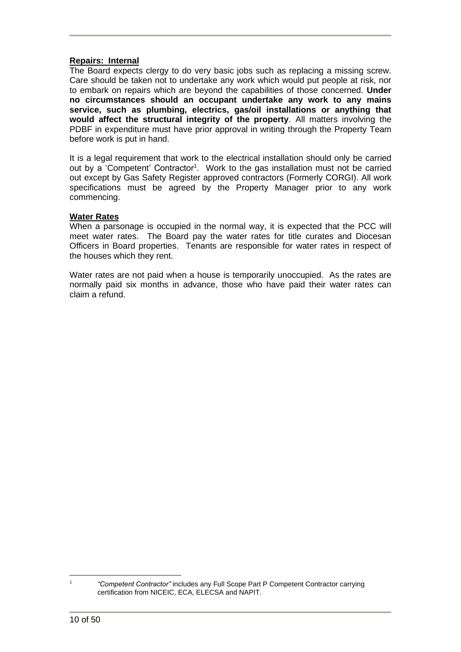#### **Repairs: Internal**

The Board expects clergy to do very basic jobs such as replacing a missing screw. Care should be taken not to undertake any work which would put people at risk, nor to embark on repairs which are beyond the capabilities of those concerned. **Under no circumstances should an occupant undertake any work to any mains service, such as plumbing, electrics, gas/oil installations or anything that would affect the structural integrity of the property**. All matters involving the PDBF in expenditure must have prior approval in writing through the Property Team before work is put in hand.

It is a legal requirement that work to the electrical installation should only be carried out by a 'Competent' Contractor<sup>1</sup>. Work to the gas installation must not be carried out except by Gas Safety Register approved contractors (Formerly CORGI). All work specifications must be agreed by the Property Manager prior to any work commencing.

#### **Water Rates**

When a parsonage is occupied in the normal way, it is expected that the PCC will meet water rates. The Board pay the water rates for title curates and Diocesan Officers in Board properties. Tenants are responsible for water rates in respect of the houses which they rent.

Water rates are not paid when a house is temporarily unoccupied. As the rates are normally paid six months in advance, those who have paid their water rates can claim a refund.

1

*<sup>&</sup>quot;Competent Contractor"* includes any Full Scope Part P Competent Contractor carrying certification from NICEIC, ECA, ELECSA and NAPIT.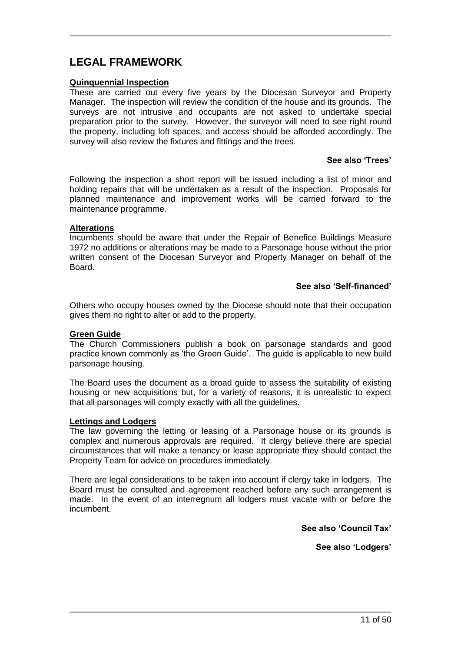# **LEGAL FRAMEWORK**

#### **Quinquennial Inspection**

These are carried out every five years by the Diocesan Surveyor and Property Manager. The inspection will review the condition of the house and its grounds. The surveys are not intrusive and occupants are not asked to undertake special preparation prior to the survey. However, the surveyor will need to see right round the property, including loft spaces, and access should be afforded accordingly. The survey will also review the fixtures and fittings and the trees.

#### **See also 'Trees'**

Following the inspection a short report will be issued including a list of minor and holding repairs that will be undertaken as a result of the inspection. Proposals for planned maintenance and improvement works will be carried forward to the maintenance programme.

#### **Alterations**

Incumbents should be aware that under the Repair of Benefice Buildings Measure 1972 no additions or alterations may be made to a Parsonage house without the prior written consent of the Diocesan Surveyor and Property Manager on behalf of the Board.

#### **See also 'Self-financed'**

Others who occupy houses owned by the Diocese should note that their occupation gives them no right to alter or add to the property.

#### **Green Guide**

The Church Commissioners publish a book on parsonage standards and good practice known commonly as 'the Green Guide'. The guide is applicable to new build parsonage housing.

The Board uses the document as a broad guide to assess the suitability of existing housing or new acquisitions but, for a variety of reasons, it is unrealistic to expect that all parsonages will comply exactly with all the guidelines.

#### **Lettings and Lodgers**

The law governing the letting or leasing of a Parsonage house or its grounds is complex and numerous approvals are required. If clergy believe there are special circumstances that will make a tenancy or lease appropriate they should contact the Property Team for advice on procedures immediately.

There are legal considerations to be taken into account if clergy take in lodgers. The Board must be consulted and agreement reached before any such arrangement is made. In the event of an interregnum all lodgers must vacate with or before the incumbent.

**See also 'Council Tax'** 

**See also 'Lodgers'**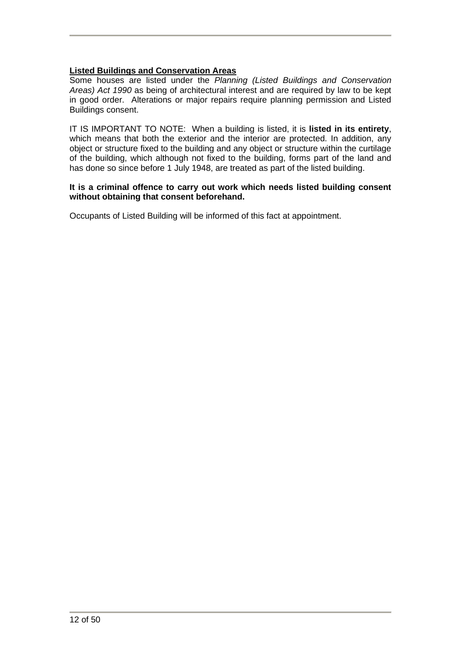### **Listed Buildings and Conservation Areas**

Some houses are listed under the *Planning (Listed Buildings and Conservation Areas) Act 1990* as being of architectural interest and are required by law to be kept in good order. Alterations or major repairs require planning permission and Listed Buildings consent.

IT IS IMPORTANT TO NOTE: When a building is listed, it is **listed in its entirety**, which means that both the exterior and the interior are protected. In addition, any object or structure fixed to the building and any object or structure within the curtilage of the building, which although not fixed to the building, forms part of the land and has done so since before 1 July 1948, are treated as part of the listed building.

#### **It is a criminal offence to carry out work which needs listed building consent without obtaining that consent beforehand.**

Occupants of Listed Building will be informed of this fact at appointment.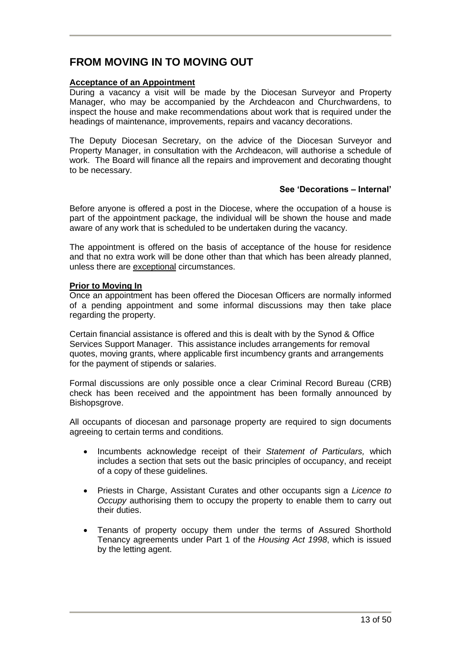# **FROM MOVING IN TO MOVING OUT**

#### **Acceptance of an Appointment**

During a vacancy a visit will be made by the Diocesan Surveyor and Property Manager, who may be accompanied by the Archdeacon and Churchwardens, to inspect the house and make recommendations about work that is required under the headings of maintenance, improvements, repairs and vacancy decorations.

The Deputy Diocesan Secretary, on the advice of the Diocesan Surveyor and Property Manager, in consultation with the Archdeacon, will authorise a schedule of work. The Board will finance all the repairs and improvement and decorating thought to be necessary.

#### **See 'Decorations – Internal'**

Before anyone is offered a post in the Diocese, where the occupation of a house is part of the appointment package, the individual will be shown the house and made aware of any work that is scheduled to be undertaken during the vacancy.

The appointment is offered on the basis of acceptance of the house for residence and that no extra work will be done other than that which has been already planned, unless there are exceptional circumstances.

#### **Prior to Moving In**

Once an appointment has been offered the Diocesan Officers are normally informed of a pending appointment and some informal discussions may then take place regarding the property.

Certain financial assistance is offered and this is dealt with by the Synod & Office Services Support Manager. This assistance includes arrangements for removal quotes, moving grants, where applicable first incumbency grants and arrangements for the payment of stipends or salaries.

Formal discussions are only possible once a clear Criminal Record Bureau (CRB) check has been received and the appointment has been formally announced by Bishopsgrove.

All occupants of diocesan and parsonage property are required to sign documents agreeing to certain terms and conditions.

- Incumbents acknowledge receipt of their *Statement of Particulars,* which includes a section that sets out the basic principles of occupancy, and receipt of a copy of these guidelines.
- Priests in Charge, Assistant Curates and other occupants sign a *Licence to Occupy* authorising them to occupy the property to enable them to carry out their duties.
- Tenants of property occupy them under the terms of Assured Shorthold Tenancy agreements under Part 1 of the *Housing Act 1998*, which is issued by the letting agent.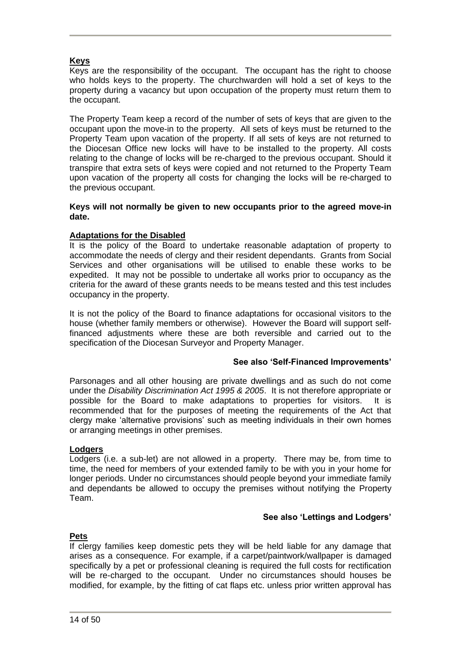#### **Keys**

Keys are the responsibility of the occupant. The occupant has the right to choose who holds keys to the property. The churchwarden will hold a set of keys to the property during a vacancy but upon occupation of the property must return them to the occupant.

The Property Team keep a record of the number of sets of keys that are given to the occupant upon the move-in to the property. All sets of keys must be returned to the Property Team upon vacation of the property. If all sets of keys are not returned to the Diocesan Office new locks will have to be installed to the property. All costs relating to the change of locks will be re-charged to the previous occupant. Should it transpire that extra sets of keys were copied and not returned to the Property Team upon vacation of the property all costs for changing the locks will be re-charged to the previous occupant.

#### **Keys will not normally be given to new occupants prior to the agreed move-in date.**

#### **Adaptations for the Disabled**

It is the policy of the Board to undertake reasonable adaptation of property to accommodate the needs of clergy and their resident dependants. Grants from Social Services and other organisations will be utilised to enable these works to be expedited. It may not be possible to undertake all works prior to occupancy as the criteria for the award of these grants needs to be means tested and this test includes occupancy in the property.

It is not the policy of the Board to finance adaptations for occasional visitors to the house (whether family members or otherwise). However the Board will support selffinanced adjustments where these are both reversible and carried out to the specification of the Diocesan Surveyor and Property Manager.

#### **See also 'Self-Financed Improvements'**

Parsonages and all other housing are private dwellings and as such do not come under the *Disability Discrimination Act 1995 & 2005*. It is not therefore appropriate or possible for the Board to make adaptations to properties for visitors. It is recommended that for the purposes of meeting the requirements of the Act that clergy make 'alternative provisions' such as meeting individuals in their own homes or arranging meetings in other premises.

#### **Lodgers**

Lodgers (i.e. a sub-let) are not allowed in a property. There may be, from time to time, the need for members of your extended family to be with you in your home for longer periods. Under no circumstances should people beyond your immediate family and dependants be allowed to occupy the premises without notifying the Property Team.

#### **See also 'Lettings and Lodgers'**

#### **Pets**

If clergy families keep domestic pets they will be held liable for any damage that arises as a consequence. For example, if a carpet/paintwork/wallpaper is damaged specifically by a pet or professional cleaning is required the full costs for rectification will be re-charged to the occupant. Under no circumstances should houses be modified, for example, by the fitting of cat flaps etc. unless prior written approval has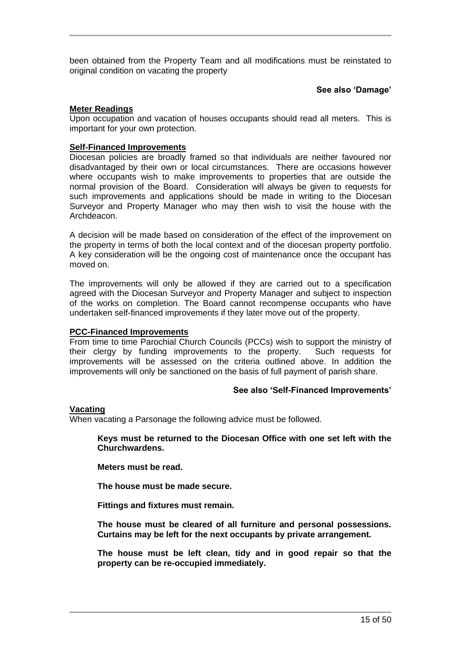been obtained from the Property Team and all modifications must be reinstated to original condition on vacating the property

#### **See also 'Damage'**

#### **Meter Readings**

Upon occupation and vacation of houses occupants should read all meters. This is important for your own protection.

#### **Self-Financed Improvements**

Diocesan policies are broadly framed so that individuals are neither favoured nor disadvantaged by their own or local circumstances. There are occasions however where occupants wish to make improvements to properties that are outside the normal provision of the Board. Consideration will always be given to requests for such improvements and applications should be made in writing to the Diocesan Surveyor and Property Manager who may then wish to visit the house with the Archdeacon.

A decision will be made based on consideration of the effect of the improvement on the property in terms of both the local context and of the diocesan property portfolio. A key consideration will be the ongoing cost of maintenance once the occupant has moved on.

The improvements will only be allowed if they are carried out to a specification agreed with the Diocesan Surveyor and Property Manager and subject to inspection of the works on completion. The Board cannot recompense occupants who have undertaken self-financed improvements if they later move out of the property.

#### **PCC-Financed Improvements**

From time to time Parochial Church Councils (PCCs) wish to support the ministry of their clergy by funding improvements to the property. Such requests for improvements will be assessed on the criteria outlined above. In addition the improvements will only be sanctioned on the basis of full payment of parish share.

#### **See also 'Self-Financed Improvements'**

#### **Vacating**

When vacating a Parsonage the following advice must be followed.

**Keys must be returned to the Diocesan Office with one set left with the Churchwardens.**

**Meters must be read.**

**The house must be made secure.**

**Fittings and fixtures must remain.**

**The house must be cleared of all furniture and personal possessions. Curtains may be left for the next occupants by private arrangement.** 

**The house must be left clean, tidy and in good repair so that the property can be re-occupied immediately.**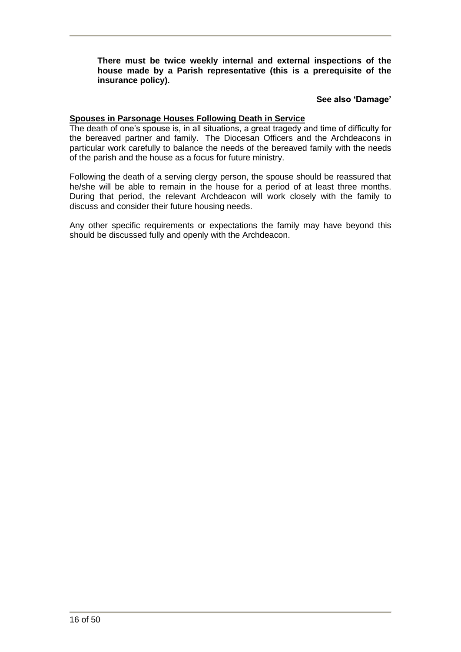**There must be twice weekly internal and external inspections of the house made by a Parish representative (this is a prerequisite of the insurance policy).**

#### **See also 'Damage'**

#### **Spouses in Parsonage Houses Following Death in Service**

The death of one's spouse is, in all situations, a great tragedy and time of difficulty for the bereaved partner and family. The Diocesan Officers and the Archdeacons in particular work carefully to balance the needs of the bereaved family with the needs of the parish and the house as a focus for future ministry.

Following the death of a serving clergy person, the spouse should be reassured that he/she will be able to remain in the house for a period of at least three months. During that period, the relevant Archdeacon will work closely with the family to discuss and consider their future housing needs.

Any other specific requirements or expectations the family may have beyond this should be discussed fully and openly with the Archdeacon.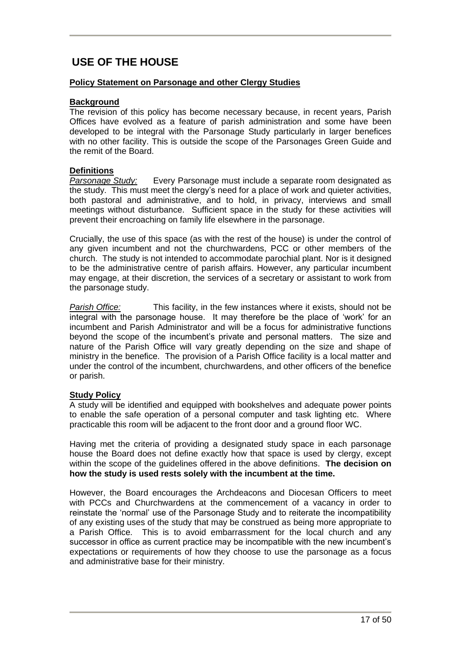# **USE OF THE HOUSE**

#### **Policy Statement on Parsonage and other Clergy Studies**

#### **Background**

The revision of this policy has become necessary because, in recent years, Parish Offices have evolved as a feature of parish administration and some have been developed to be integral with the Parsonage Study particularly in larger benefices with no other facility. This is outside the scope of the Parsonages Green Guide and the remit of the Board.

#### **Definitions**

*Parsonage Study:* Every Parsonage must include a separate room designated as the study. This must meet the clergy's need for a place of work and quieter activities, both pastoral and administrative, and to hold, in privacy, interviews and small meetings without disturbance. Sufficient space in the study for these activities will prevent their encroaching on family life elsewhere in the parsonage.

Crucially, the use of this space (as with the rest of the house) is under the control of any given incumbent and not the churchwardens, PCC or other members of the church. The study is not intended to accommodate parochial plant. Nor is it designed to be the administrative centre of parish affairs. However, any particular incumbent may engage, at their discretion, the services of a secretary or assistant to work from the parsonage study.

*Parish Office:* This facility, in the few instances where it exists, should not be integral with the parsonage house. It may therefore be the place of 'work' for an incumbent and Parish Administrator and will be a focus for administrative functions beyond the scope of the incumbent's private and personal matters. The size and nature of the Parish Office will vary greatly depending on the size and shape of ministry in the benefice. The provision of a Parish Office facility is a local matter and under the control of the incumbent, churchwardens, and other officers of the benefice or parish.

#### **Study Policy**

A study will be identified and equipped with bookshelves and adequate power points to enable the safe operation of a personal computer and task lighting etc. Where practicable this room will be adjacent to the front door and a ground floor WC.

Having met the criteria of providing a designated study space in each parsonage house the Board does not define exactly how that space is used by clergy, except within the scope of the guidelines offered in the above definitions. **The decision on how the study is used rests solely with the incumbent at the time.**

However, the Board encourages the Archdeacons and Diocesan Officers to meet with PCCs and Churchwardens at the commencement of a vacancy in order to reinstate the 'normal' use of the Parsonage Study and to reiterate the incompatibility of any existing uses of the study that may be construed as being more appropriate to a Parish Office. This is to avoid embarrassment for the local church and any successor in office as current practice may be incompatible with the new incumbent's expectations or requirements of how they choose to use the parsonage as a focus and administrative base for their ministry.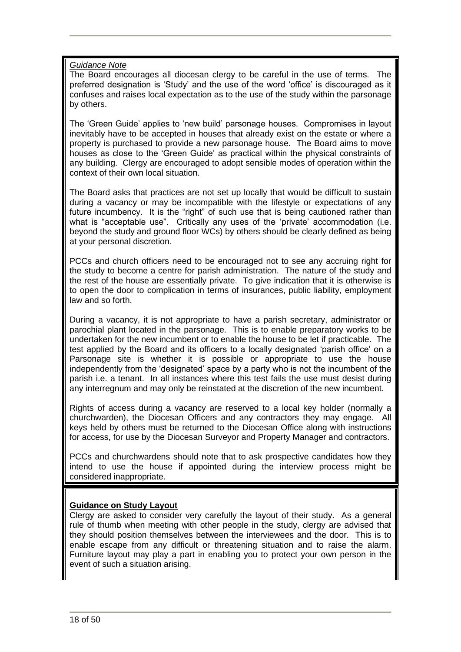#### *Guidance Note*

The Board encourages all diocesan clergy to be careful in the use of terms. The preferred designation is 'Study' and the use of the word 'office' is discouraged as it confuses and raises local expectation as to the use of the study within the parsonage by others.

The 'Green Guide' applies to 'new build' parsonage houses. Compromises in layout inevitably have to be accepted in houses that already exist on the estate or where a property is purchased to provide a new parsonage house. The Board aims to move houses as close to the 'Green Guide' as practical within the physical constraints of any building. Clergy are encouraged to adopt sensible modes of operation within the context of their own local situation.

The Board asks that practices are not set up locally that would be difficult to sustain during a vacancy or may be incompatible with the lifestyle or expectations of any future incumbency. It is the "right" of such use that is being cautioned rather than what is "acceptable use". Critically any uses of the 'private' accommodation (i.e. beyond the study and ground floor WCs) by others should be clearly defined as being at your personal discretion.

PCCs and church officers need to be encouraged not to see any accruing right for the study to become a centre for parish administration. The nature of the study and the rest of the house are essentially private. To give indication that it is otherwise is to open the door to complication in terms of insurances, public liability, employment law and so forth.

During a vacancy, it is not appropriate to have a parish secretary, administrator or parochial plant located in the parsonage. This is to enable preparatory works to be undertaken for the new incumbent or to enable the house to be let if practicable. The test applied by the Board and its officers to a locally designated 'parish office' on a Parsonage site is whether it is possible or appropriate to use the house independently from the 'designated' space by a party who is not the incumbent of the parish i.e. a tenant. In all instances where this test fails the use must desist during any interregnum and may only be reinstated at the discretion of the new incumbent.

Rights of access during a vacancy are reserved to a local key holder (normally a churchwarden), the Diocesan Officers and any contractors they may engage. All keys held by others must be returned to the Diocesan Office along with instructions for access, for use by the Diocesan Surveyor and Property Manager and contractors.

PCCs and churchwardens should note that to ask prospective candidates how they intend to use the house if appointed during the interview process might be considered inappropriate.

#### **Guidance on Study Layout**

Clergy are asked to consider very carefully the layout of their study. As a general rule of thumb when meeting with other people in the study, clergy are advised that they should position themselves between the interviewees and the door. This is to enable escape from any difficult or threatening situation and to raise the alarm. Furniture layout may play a part in enabling you to protect your own person in the event of such a situation arising.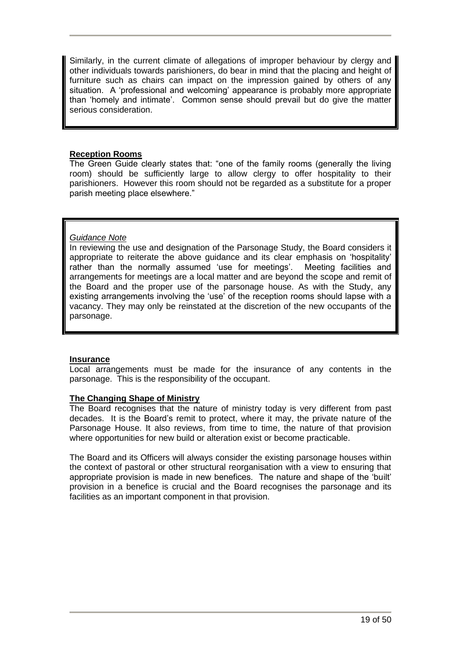Similarly, in the current climate of allegations of improper behaviour by clergy and other individuals towards parishioners, do bear in mind that the placing and height of furniture such as chairs can impact on the impression gained by others of any situation. A 'professional and welcoming' appearance is probably more appropriate than 'homely and intimate'. Common sense should prevail but do give the matter serious consideration.

#### **Reception Rooms**

The Green Guide clearly states that: "one of the family rooms (generally the living room) should be sufficiently large to allow clergy to offer hospitality to their parishioners. However this room should not be regarded as a substitute for a proper parish meeting place elsewhere."

#### *Guidance Note*

In reviewing the use and designation of the Parsonage Study, the Board considers it appropriate to reiterate the above guidance and its clear emphasis on 'hospitality' rather than the normally assumed 'use for meetings'. Meeting facilities and arrangements for meetings are a local matter and are beyond the scope and remit of the Board and the proper use of the parsonage house. As with the Study, any existing arrangements involving the 'use' of the reception rooms should lapse with a vacancy. They may only be reinstated at the discretion of the new occupants of the parsonage.

#### **Insurance**

Local arrangements must be made for the insurance of any contents in the parsonage. This is the responsibility of the occupant.

#### **The Changing Shape of Ministry**

The Board recognises that the nature of ministry today is very different from past decades. It is the Board's remit to protect, where it may, the private nature of the Parsonage House. It also reviews, from time to time, the nature of that provision where opportunities for new build or alteration exist or become practicable.

The Board and its Officers will always consider the existing parsonage houses within the context of pastoral or other structural reorganisation with a view to ensuring that appropriate provision is made in new benefices. The nature and shape of the 'built' provision in a benefice is crucial and the Board recognises the parsonage and its facilities as an important component in that provision.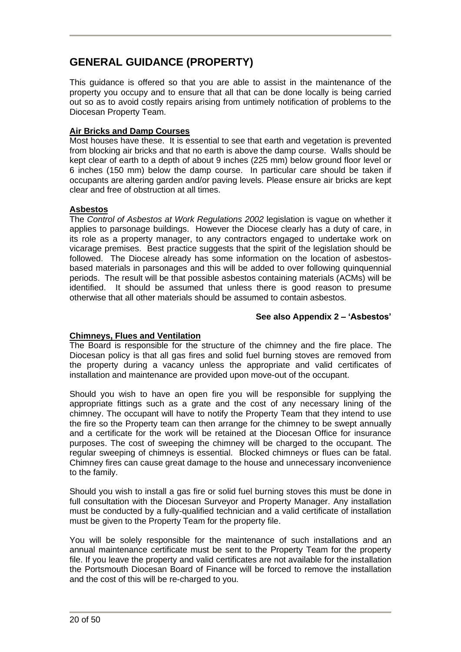# **GENERAL GUIDANCE (PROPERTY)**

This guidance is offered so that you are able to assist in the maintenance of the property you occupy and to ensure that all that can be done locally is being carried out so as to avoid costly repairs arising from untimely notification of problems to the Diocesan Property Team.

#### **Air Bricks and Damp Courses**

Most houses have these. It is essential to see that earth and vegetation is prevented from blocking air bricks and that no earth is above the damp course. Walls should be kept clear of earth to a depth of about 9 inches (225 mm) below ground floor level or 6 inches (150 mm) below the damp course. In particular care should be taken if occupants are altering garden and/or paving levels. Please ensure air bricks are kept clear and free of obstruction at all times.

#### **Asbestos**

The *Control of Asbestos at Work Regulations 2002* legislation is vague on whether it applies to parsonage buildings. However the Diocese clearly has a duty of care, in its role as a property manager, to any contractors engaged to undertake work on vicarage premises. Best practice suggests that the spirit of the legislation should be followed. The Diocese already has some information on the location of asbestosbased materials in parsonages and this will be added to over following quinquennial periods. The result will be that possible asbestos containing materials (ACMs) will be identified. It should be assumed that unless there is good reason to presume otherwise that all other materials should be assumed to contain asbestos.

#### **See also Appendix 2 – 'Asbestos'**

#### **Chimneys, Flues and Ventilation**

The Board is responsible for the structure of the chimney and the fire place. The Diocesan policy is that all gas fires and solid fuel burning stoves are removed from the property during a vacancy unless the appropriate and valid certificates of installation and maintenance are provided upon move-out of the occupant.

Should you wish to have an open fire you will be responsible for supplying the appropriate fittings such as a grate and the cost of any necessary lining of the chimney. The occupant will have to notify the Property Team that they intend to use the fire so the Property team can then arrange for the chimney to be swept annually and a certificate for the work will be retained at the Diocesan Office for insurance purposes. The cost of sweeping the chimney will be charged to the occupant. The regular sweeping of chimneys is essential. Blocked chimneys or flues can be fatal. Chimney fires can cause great damage to the house and unnecessary inconvenience to the family.

Should you wish to install a gas fire or solid fuel burning stoves this must be done in full consultation with the Diocesan Surveyor and Property Manager. Any installation must be conducted by a fully-qualified technician and a valid certificate of installation must be given to the Property Team for the property file.

You will be solely responsible for the maintenance of such installations and an annual maintenance certificate must be sent to the Property Team for the property file. If you leave the property and valid certificates are not available for the installation the Portsmouth Diocesan Board of Finance will be forced to remove the installation and the cost of this will be re-charged to you.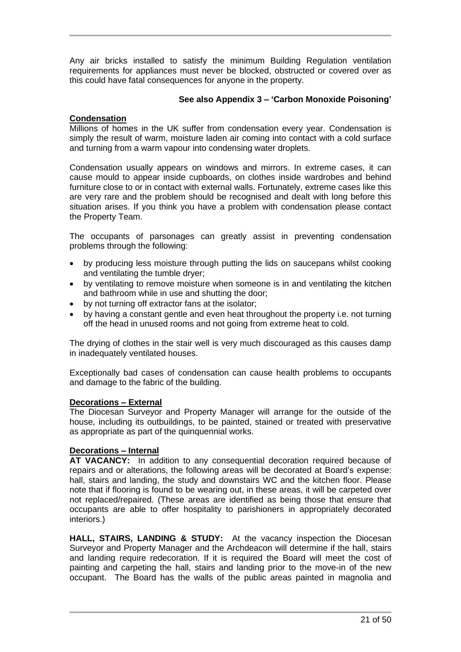Any air bricks installed to satisfy the minimum Building Regulation ventilation requirements for appliances must never be blocked, obstructed or covered over as this could have fatal consequences for anyone in the property.

#### **See also Appendix 3 – 'Carbon Monoxide Poisoning'**

#### **Condensation**

Millions of homes in the UK suffer from condensation every year. Condensation is simply the result of warm, moisture laden air coming into contact with a cold surface and turning from a warm vapour into condensing water droplets.

Condensation usually appears on windows and mirrors. In extreme cases, it can cause mould to appear inside cupboards, on clothes inside wardrobes and behind furniture close to or in contact with external walls. Fortunately, extreme cases like this are very rare and the problem should be recognised and dealt with long before this situation arises. If you think you have a problem with condensation please contact the Property Team.

The occupants of parsonages can greatly assist in preventing condensation problems through the following:

- by producing less moisture through putting the lids on saucepans whilst cooking and ventilating the tumble dryer;
- by ventilating to remove moisture when someone is in and ventilating the kitchen and bathroom while in use and shutting the door;
- by not turning off extractor fans at the isolator;
- by having a constant gentle and even heat throughout the property i.e. not turning off the head in unused rooms and not going from extreme heat to cold.

The drying of clothes in the stair well is very much discouraged as this causes damp in inadequately ventilated houses.

Exceptionally bad cases of condensation can cause health problems to occupants and damage to the fabric of the building.

#### **Decorations – External**

The Diocesan Surveyor and Property Manager will arrange for the outside of the house, including its outbuildings, to be painted, stained or treated with preservative as appropriate as part of the quinquennial works.

### **Decorations – Internal**

**AT VACANCY:** In addition to any consequential decoration required because of repairs and or alterations, the following areas will be decorated at Board's expense: hall, stairs and landing, the study and downstairs WC and the kitchen floor. Please note that if flooring is found to be wearing out, in these areas, it will be carpeted over not replaced/repaired. (These areas are identified as being those that ensure that occupants are able to offer hospitality to parishioners in appropriately decorated interiors.)

**HALL, STAIRS, LANDING & STUDY:** At the vacancy inspection the Diocesan Surveyor and Property Manager and the Archdeacon will determine if the hall, stairs and landing require redecoration. If it is required the Board will meet the cost of painting and carpeting the hall, stairs and landing prior to the move-in of the new occupant. The Board has the walls of the public areas painted in magnolia and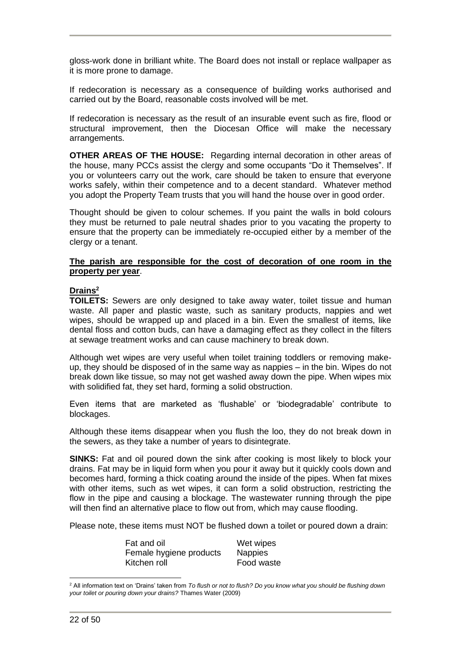gloss-work done in brilliant white. The Board does not install or replace wallpaper as it is more prone to damage.

If redecoration is necessary as a consequence of building works authorised and carried out by the Board, reasonable costs involved will be met.

If redecoration is necessary as the result of an insurable event such as fire, flood or structural improvement, then the Diocesan Office will make the necessary arrangements.

**OTHER AREAS OF THE HOUSE:** Regarding internal decoration in other areas of the house, many PCCs assist the clergy and some occupants "Do it Themselves". If you or volunteers carry out the work, care should be taken to ensure that everyone works safely, within their competence and to a decent standard. Whatever method you adopt the Property Team trusts that you will hand the house over in good order.

Thought should be given to colour schemes. If you paint the walls in bold colours they must be returned to pale neutral shades prior to you vacating the property to ensure that the property can be immediately re-occupied either by a member of the clergy or a tenant.

#### **The parish are responsible for the cost of decoration of one room in the property per year**.

#### **Drains<sup>2</sup>**

**TOILETS:** Sewers are only designed to take away water, toilet tissue and human waste. All paper and plastic waste, such as sanitary products, nappies and wet wipes, should be wrapped up and placed in a bin. Even the smallest of items, like dental floss and cotton buds, can have a damaging effect as they collect in the filters at sewage treatment works and can cause machinery to break down.

Although wet wipes are very useful when toilet training toddlers or removing makeup, they should be disposed of in the same way as nappies – in the bin. Wipes do not break down like tissue, so may not get washed away down the pipe. When wipes mix with solidified fat, they set hard, forming a solid obstruction.

Even items that are marketed as 'flushable' or 'biodegradable' contribute to blockages.

Although these items disappear when you flush the loo, they do not break down in the sewers, as they take a number of years to disintegrate.

**SINKS:** Fat and oil poured down the sink after cooking is most likely to block your drains. Fat may be in liquid form when you pour it away but it quickly cools down and becomes hard, forming a thick coating around the inside of the pipes. When fat mixes with other items, such as wet wipes, it can form a solid obstruction, restricting the flow in the pipe and causing a blockage. The wastewater running through the pipe will then find an alternative place to flow out from, which may cause flooding.

Please note, these items must NOT be flushed down a toilet or poured down a drain:

| Fat and oil             | Wet wipes      |
|-------------------------|----------------|
| Female hygiene products | <b>Nappies</b> |
| Kitchen roll            | Food waste     |

<sup>2</sup> All information text on 'Drains' taken from *To flush or not to flush? Do you know what you should be flushing down your toilet or pouring down your drains?* Thames Water (2009)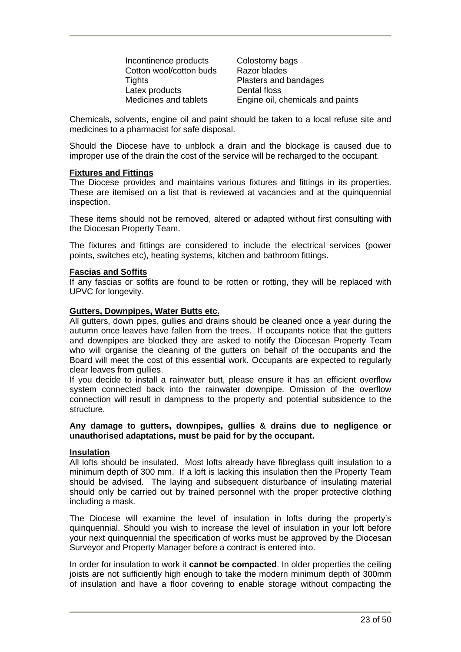Incontinence products Colostomy bags Cotton wool/cotton buds Razor blades Tights Plasters and bandages Latex products **Dental floss**<br> **Medicines and tablets** Frigging oil compared to the Dental Comparent Comparent Comparent Comparent Comparent Comparent Comparent Comparent Comparent Comparent Comparent Comparent Comparent C

Engine oil, chemicals and paints

Chemicals, solvents, engine oil and paint should be taken to a local refuse site and medicines to a pharmacist for safe disposal.

Should the Diocese have to unblock a drain and the blockage is caused due to improper use of the drain the cost of the service will be recharged to the occupant.

#### **Fixtures and Fittings**

The Diocese provides and maintains various fixtures and fittings in its properties. These are itemised on a list that is reviewed at vacancies and at the quinquennial inspection.

These items should not be removed, altered or adapted without first consulting with the Diocesan Property Team.

The fixtures and fittings are considered to include the electrical services (power points, switches etc), heating systems, kitchen and bathroom fittings.

#### **Fascias and Soffits**

If any fascias or soffits are found to be rotten or rotting, they will be replaced with UPVC for longevity.

#### **Gutters, Downpipes, Water Butts etc.**

All gutters, down pipes, gullies and drains should be cleaned once a year during the autumn once leaves have fallen from the trees. If occupants notice that the gutters and downpipes are blocked they are asked to notify the Diocesan Property Team who will organise the cleaning of the gutters on behalf of the occupants and the Board will meet the cost of this essential work. Occupants are expected to regularly clear leaves from gullies.

If you decide to install a rainwater butt, please ensure it has an efficient overflow system connected back into the rainwater downpipe. Omission of the overflow connection will result in dampness to the property and potential subsidence to the structure.

#### **Any damage to gutters, downpipes, gullies & drains due to negligence or unauthorised adaptations, must be paid for by the occupant.**

#### **Insulation**

All lofts should be insulated. Most lofts already have fibreglass quilt insulation to a minimum depth of 300 mm. If a loft is lacking this insulation then the Property Team should be advised. The laying and subsequent disturbance of insulating material should only be carried out by trained personnel with the proper protective clothing including a mask.

The Diocese will examine the level of insulation in lofts during the property's quinquennial. Should you wish to increase the level of insulation in your loft before your next quinquennial the specification of works must be approved by the Diocesan Surveyor and Property Manager before a contract is entered into.

In order for insulation to work it **cannot be compacted**. In older properties the ceiling joists are not sufficiently high enough to take the modern minimum depth of 300mm of insulation and have a floor covering to enable storage without compacting the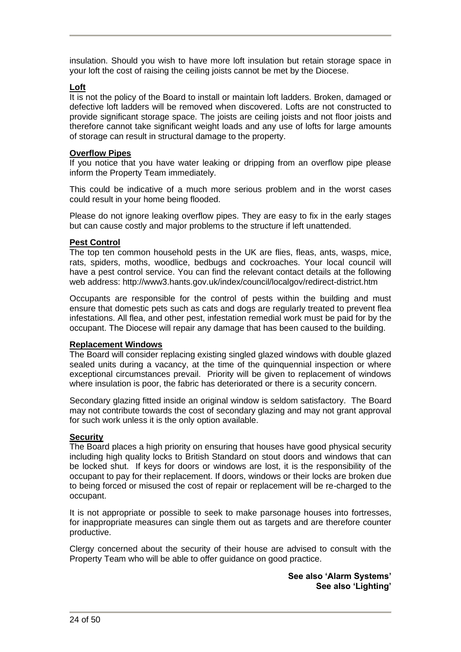insulation. Should you wish to have more loft insulation but retain storage space in your loft the cost of raising the ceiling joists cannot be met by the Diocese.

#### **Loft**

It is not the policy of the Board to install or maintain loft ladders. Broken, damaged or defective loft ladders will be removed when discovered. Lofts are not constructed to provide significant storage space. The joists are ceiling joists and not floor joists and therefore cannot take significant weight loads and any use of lofts for large amounts of storage can result in structural damage to the property.

#### **Overflow Pipes**

If you notice that you have water leaking or dripping from an overflow pipe please inform the Property Team immediately.

This could be indicative of a much more serious problem and in the worst cases could result in your home being flooded.

Please do not ignore leaking overflow pipes. They are easy to fix in the early stages but can cause costly and major problems to the structure if left unattended.

#### **Pest Control**

The top ten common household pests in the UK are flies, fleas, ants, wasps, mice, rats, spiders, moths, woodlice, bedbugs and cockroaches. Your local council will have a pest control service. You can find the relevant contact details at the following web address: http://www3.hants.gov.uk/index/council/localgov/redirect-district.htm

Occupants are responsible for the control of pests within the building and must ensure that domestic pets such as cats and dogs are regularly treated to prevent flea infestations. All flea, and other pest, infestation remedial work must be paid for by the occupant. The Diocese will repair any damage that has been caused to the building.

#### **Replacement Windows**

The Board will consider replacing existing singled glazed windows with double glazed sealed units during a vacancy, at the time of the quinquennial inspection or where exceptional circumstances prevail. Priority will be given to replacement of windows where insulation is poor, the fabric has deteriorated or there is a security concern.

Secondary glazing fitted inside an original window is seldom satisfactory. The Board may not contribute towards the cost of secondary glazing and may not grant approval for such work unless it is the only option available.

#### **Security**

The Board places a high priority on ensuring that houses have good physical security including high quality locks to British Standard on stout doors and windows that can be locked shut. If keys for doors or windows are lost, it is the responsibility of the occupant to pay for their replacement. If doors, windows or their locks are broken due to being forced or misused the cost of repair or replacement will be re-charged to the occupant.

It is not appropriate or possible to seek to make parsonage houses into fortresses, for inappropriate measures can single them out as targets and are therefore counter productive.

Clergy concerned about the security of their house are advised to consult with the Property Team who will be able to offer guidance on good practice.

> **See also 'Alarm Systems' See also 'Lighting'**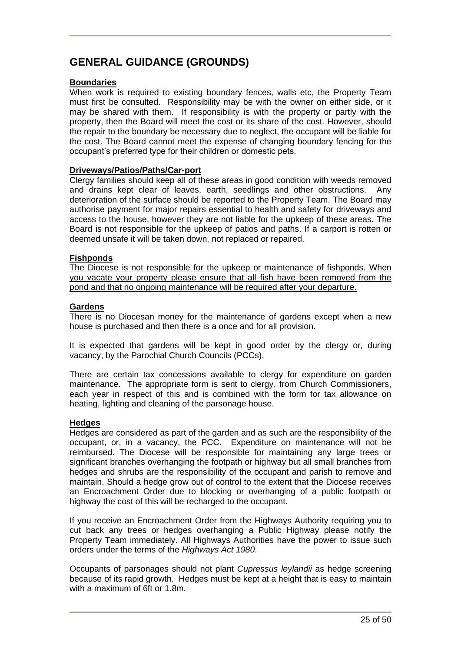# **GENERAL GUIDANCE (GROUNDS)**

#### **Boundaries**

When work is required to existing boundary fences, walls etc, the Property Team must first be consulted. Responsibility may be with the owner on either side, or it may be shared with them. If responsibility is with the property or partly with the property, then the Board will meet the cost or its share of the cost. However, should the repair to the boundary be necessary due to neglect, the occupant will be liable for the cost. The Board cannot meet the expense of changing boundary fencing for the occupant's preferred type for their children or domestic pets.

#### **Driveways/Patios/Paths/Car-port**

Clergy families should keep all of these areas in good condition with weeds removed and drains kept clear of leaves, earth, seedlings and other obstructions. Any deterioration of the surface should be reported to the Property Team. The Board may authorise payment for major repairs essential to health and safety for driveways and access to the house, however they are not liable for the upkeep of these areas. The Board is not responsible for the upkeep of patios and paths. If a carport is rotten or deemed unsafe it will be taken down, not replaced or repaired.

#### **Fishponds**

The Diocese is not responsible for the upkeep or maintenance of fishponds. When you vacate your property please ensure that all fish have been removed from the pond and that no ongoing maintenance will be required after your departure.

#### **Gardens**

There is no Diocesan money for the maintenance of gardens except when a new house is purchased and then there is a once and for all provision.

It is expected that gardens will be kept in good order by the clergy or, during vacancy, by the Parochial Church Councils (PCCs).

There are certain tax concessions available to clergy for expenditure on garden maintenance. The appropriate form is sent to clergy, from Church Commissioners, each year in respect of this and is combined with the form for tax allowance on heating, lighting and cleaning of the parsonage house.

#### **Hedges**

Hedges are considered as part of the garden and as such are the responsibility of the occupant, or, in a vacancy, the PCC. Expenditure on maintenance will not be reimbursed. The Diocese will be responsible for maintaining any large trees or significant branches overhanging the footpath or highway but all small branches from hedges and shrubs are the responsibility of the occupant and parish to remove and maintain. Should a hedge grow out of control to the extent that the Diocese receives an Encroachment Order due to blocking or overhanging of a public footpath or highway the cost of this will be recharged to the occupant.

If you receive an Encroachment Order from the Highways Authority requiring you to cut back any trees or hedges overhanging a Public Highway please notify the Property Team immediately. All Highways Authorities have the power to issue such orders under the terms of the *Highways Act 1980*.

Occupants of parsonages should not plant *Cupressus leylandii* as hedge screening because of its rapid growth. Hedges must be kept at a height that is easy to maintain with a maximum of 6ft or 1.8m.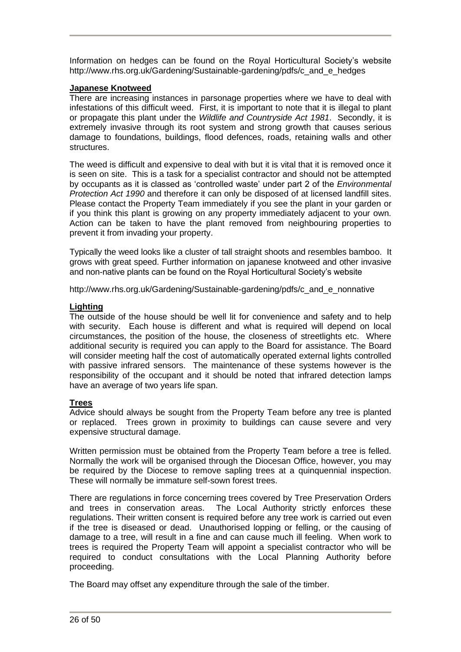Information on hedges can be found on the Royal Horticultural Society's website http://www.rhs.org.uk/Gardening/Sustainable-gardening/pdfs/c\_and\_e\_hedges

#### **Japanese Knotweed**

There are increasing instances in parsonage properties where we have to deal with infestations of this difficult weed. First, it is important to note that it is illegal to plant or propagate this plant under the *Wildlife and Countryside Act 1981*. Secondly, it is extremely invasive through its root system and strong growth that causes serious damage to foundations, buildings, flood defences, roads, retaining walls and other structures.

The weed is difficult and expensive to deal with but it is vital that it is removed once it is seen on site. This is a task for a specialist contractor and should not be attempted by occupants as it is classed as 'controlled waste' under part 2 of the *Environmental Protection Act 1990* and therefore it can only be disposed of at licensed landfill sites. Please contact the Property Team immediately if you see the plant in your garden or if you think this plant is growing on any property immediately adjacent to your own. Action can be taken to have the plant removed from neighbouring properties to prevent it from invading your property.

Typically the weed looks like a cluster of tall straight shoots and resembles bamboo. It grows with great speed. Further information on japanese knotweed and other invasive and non-native plants can be found on the Royal Horticultural Society's website

http://www.rhs.org.uk/Gardening/Sustainable-gardening/pdfs/c\_and\_e\_nonnative

#### **Lighting**

The outside of the house should be well lit for convenience and safety and to help with security. Each house is different and what is required will depend on local circumstances, the position of the house, the closeness of streetlights etc. Where additional security is required you can apply to the Board for assistance. The Board will consider meeting half the cost of automatically operated external lights controlled with passive infrared sensors. The maintenance of these systems however is the responsibility of the occupant and it should be noted that infrared detection lamps have an average of two years life span.

#### **Trees**

Advice should always be sought from the Property Team before any tree is planted or replaced. Trees grown in proximity to buildings can cause severe and very expensive structural damage.

Written permission must be obtained from the Property Team before a tree is felled. Normally the work will be organised through the Diocesan Office, however, you may be required by the Diocese to remove sapling trees at a quinquennial inspection. These will normally be immature self-sown forest trees.

There are regulations in force concerning trees covered by Tree Preservation Orders and trees in conservation areas. The Local Authority strictly enforces these regulations. Their written consent is required before any tree work is carried out even if the tree is diseased or dead. Unauthorised lopping or felling, or the causing of damage to a tree, will result in a fine and can cause much ill feeling. When work to trees is required the Property Team will appoint a specialist contractor who will be required to conduct consultations with the Local Planning Authority before proceeding.

The Board may offset any expenditure through the sale of the timber.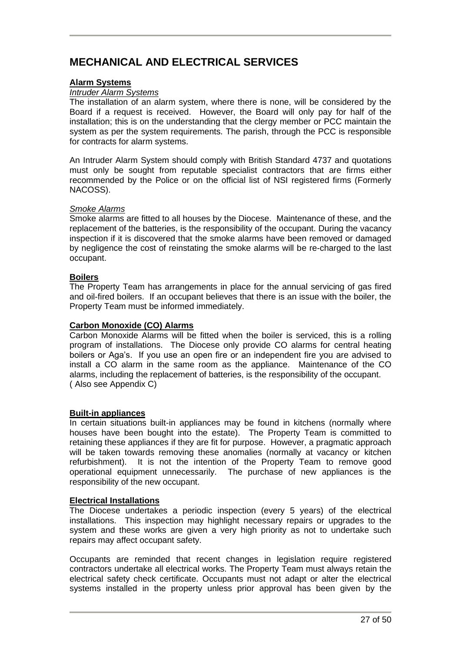# **MECHANICAL AND ELECTRICAL SERVICES**

#### **Alarm Systems**

#### *Intruder Alarm Systems*

The installation of an alarm system, where there is none, will be considered by the Board if a request is received. However, the Board will only pay for half of the installation; this is on the understanding that the clergy member or PCC maintain the system as per the system requirements. The parish, through the PCC is responsible for contracts for alarm systems.

An Intruder Alarm System should comply with British Standard 4737 and quotations must only be sought from reputable specialist contractors that are firms either recommended by the Police or on the official list of NSI registered firms (Formerly NACOSS).

#### *Smoke Alarms*

Smoke alarms are fitted to all houses by the Diocese. Maintenance of these, and the replacement of the batteries, is the responsibility of the occupant. During the vacancy inspection if it is discovered that the smoke alarms have been removed or damaged by negligence the cost of reinstating the smoke alarms will be re-charged to the last occupant.

#### **Boilers**

The Property Team has arrangements in place for the annual servicing of gas fired and oil-fired boilers. If an occupant believes that there is an issue with the boiler, the Property Team must be informed immediately.

#### **Carbon Monoxide (CO) Alarms**

Carbon Monoxide Alarms will be fitted when the boiler is serviced, this is a rolling program of installations. The Diocese only provide CO alarms for central heating boilers or Aga's. If you use an open fire or an independent fire you are advised to install a CO alarm in the same room as the appliance. Maintenance of the CO alarms, including the replacement of batteries, is the responsibility of the occupant. ( Also see Appendix C)

#### **Built-in appliances**

In certain situations built-in appliances may be found in kitchens (normally where houses have been bought into the estate). The Property Team is committed to retaining these appliances if they are fit for purpose. However, a pragmatic approach will be taken towards removing these anomalies (normally at vacancy or kitchen refurbishment). It is not the intention of the Property Team to remove good operational equipment unnecessarily. The purchase of new appliances is the responsibility of the new occupant.

#### **Electrical Installations**

The Diocese undertakes a periodic inspection (every 5 years) of the electrical installations. This inspection may highlight necessary repairs or upgrades to the system and these works are given a very high priority as not to undertake such repairs may affect occupant safety.

Occupants are reminded that recent changes in legislation require registered contractors undertake all electrical works. The Property Team must always retain the electrical safety check certificate. Occupants must not adapt or alter the electrical systems installed in the property unless prior approval has been given by the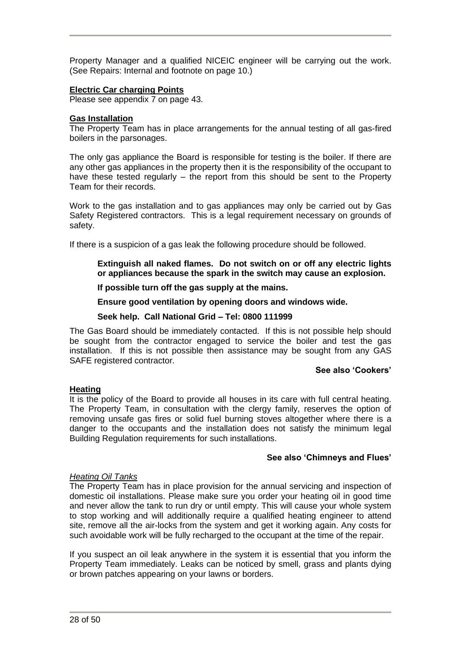Property Manager and a qualified NICEIC engineer will be carrying out the work. (See Repairs: Internal and footnote on page 10.)

#### **Electric Car charging Points**

Please see appendix 7 on page 43.

#### **Gas Installation**

The Property Team has in place arrangements for the annual testing of all gas-fired boilers in the parsonages.

The only gas appliance the Board is responsible for testing is the boiler. If there are any other gas appliances in the property then it is the responsibility of the occupant to have these tested regularly – the report from this should be sent to the Property Team for their records.

Work to the gas installation and to gas appliances may only be carried out by Gas Safety Registered contractors. This is a legal requirement necessary on grounds of safety.

If there is a suspicion of a gas leak the following procedure should be followed.

- **Extinguish all naked flames. Do not switch on or off any electric lights or appliances because the spark in the switch may cause an explosion.**
- **If possible turn off the gas supply at the mains.**

**Ensure good ventilation by opening doors and windows wide.** 

#### **Seek help. Call National Grid – Tel: 0800 111999**

The Gas Board should be immediately contacted. If this is not possible help should be sought from the contractor engaged to service the boiler and test the gas installation. If this is not possible then assistance may be sought from any GAS SAFE registered contractor.

#### **See also 'Cookers'**

#### **Heating**

It is the policy of the Board to provide all houses in its care with full central heating. The Property Team, in consultation with the clergy family, reserves the option of removing unsafe gas fires or solid fuel burning stoves altogether where there is a danger to the occupants and the installation does not satisfy the minimum legal Building Regulation requirements for such installations.

#### **See also 'Chimneys and Flues'**

#### *Heating Oil Tanks*

The Property Team has in place provision for the annual servicing and inspection of domestic oil installations. Please make sure you order your heating oil in good time and never allow the tank to run dry or until empty. This will cause your whole system to stop working and will additionally require a qualified heating engineer to attend site, remove all the air-locks from the system and get it working again. Any costs for such avoidable work will be fully recharged to the occupant at the time of the repair.

If you suspect an oil leak anywhere in the system it is essential that you inform the Property Team immediately. Leaks can be noticed by smell, grass and plants dying or brown patches appearing on your lawns or borders.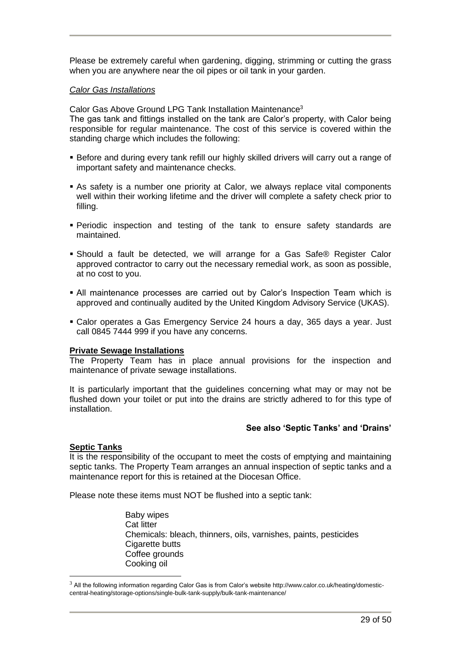Please be extremely careful when gardening, digging, strimming or cutting the grass when you are anywhere near the oil pipes or oil tank in your garden.

#### *Calor Gas Installations*

Calor Gas Above Ground LPG Tank Installation Maintenance<sup>3</sup> The gas tank and fittings installed on the tank are Calor's property, with Calor being responsible for regular maintenance. The cost of this service is covered within the standing charge which includes the following:

- **Before and during every tank refill our highly skilled drivers will carry out a range of** important safety and maintenance checks.
- As safety is a number one priority at Calor, we always replace vital components well within their working lifetime and the driver will complete a safety check prior to filling.
- **Periodic inspection and testing of the tank to ensure safety standards are** maintained.
- **Should a fault be detected, we will arrange for a Gas Safe® Register Calor** approved contractor to carry out the necessary remedial work, as soon as possible, at no cost to you.
- All maintenance processes are carried out by Calor's Inspection Team which is approved and continually audited by the United Kingdom Advisory Service (UKAS).
- Calor operates a Gas Emergency Service 24 hours a day, 365 days a year. Just call 0845 7444 999 if you have any concerns.

#### **Private Sewage Installations**

The Property Team has in place annual provisions for the inspection and maintenance of private sewage installations.

It is particularly important that the guidelines concerning what may or may not be flushed down your toilet or put into the drains are strictly adhered to for this type of installation.

#### **See also 'Septic Tanks' and 'Drains'**

#### **Septic Tanks**

It is the responsibility of the occupant to meet the costs of emptying and maintaining septic tanks. The Property Team arranges an annual inspection of septic tanks and a maintenance report for this is retained at the Diocesan Office.

Please note these items must NOT be flushed into a septic tank:

Baby wipes Cat litter Chemicals: bleach, thinners, oils, varnishes, paints, pesticides Cigarette butts Coffee grounds Cooking oil

 $3$  All the following information regarding Calor Gas is from Calor's website http://www.calor.co.uk/heating/domesticcentral-heating/storage-options/single-bulk-tank-supply/bulk-tank-maintenance/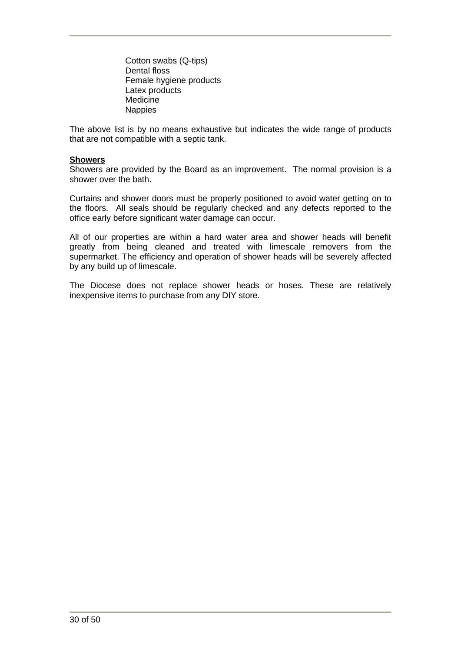Cotton swabs (Q-tips) Dental floss Female hygiene products Latex products Medicine Nappies

The above list is by no means exhaustive but indicates the wide range of products that are not compatible with a septic tank.

#### **Showers**

Showers are provided by the Board as an improvement. The normal provision is a shower over the bath.

Curtains and shower doors must be properly positioned to avoid water getting on to the floors. All seals should be regularly checked and any defects reported to the office early before significant water damage can occur.

All of our properties are within a hard water area and shower heads will benefit greatly from being cleaned and treated with limescale removers from the supermarket. The efficiency and operation of shower heads will be severely affected by any build up of limescale.

The Diocese does not replace shower heads or hoses. These are relatively inexpensive items to purchase from any DIY store.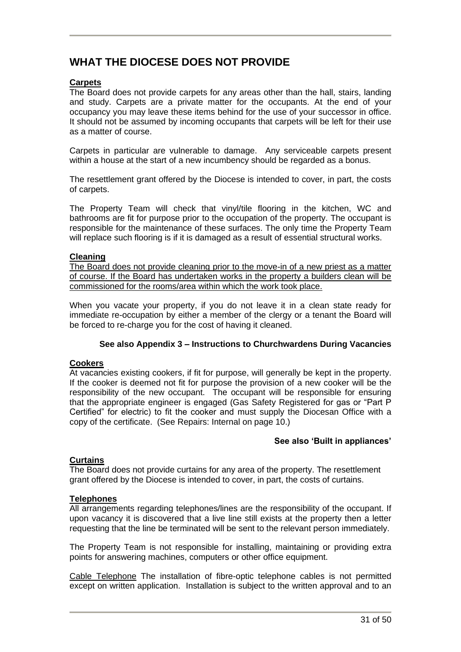# **WHAT THE DIOCESE DOES NOT PROVIDE**

#### **Carpets**

The Board does not provide carpets for any areas other than the hall, stairs, landing and study. Carpets are a private matter for the occupants. At the end of your occupancy you may leave these items behind for the use of your successor in office. It should not be assumed by incoming occupants that carpets will be left for their use as a matter of course.

Carpets in particular are vulnerable to damage. Any serviceable carpets present within a house at the start of a new incumbency should be regarded as a bonus.

The resettlement grant offered by the Diocese is intended to cover, in part, the costs of carpets.

The Property Team will check that vinyl/tile flooring in the kitchen, WC and bathrooms are fit for purpose prior to the occupation of the property. The occupant is responsible for the maintenance of these surfaces. The only time the Property Team will replace such flooring is if it is damaged as a result of essential structural works.

#### **Cleaning**

The Board does not provide cleaning prior to the move-in of a new priest as a matter of course. If the Board has undertaken works in the property a builders clean will be commissioned for the rooms/area within which the work took place.

When you vacate your property, if you do not leave it in a clean state ready for immediate re-occupation by either a member of the clergy or a tenant the Board will be forced to re-charge you for the cost of having it cleaned.

#### **See also Appendix 3 – Instructions to Churchwardens During Vacancies**

#### **Cookers**

At vacancies existing cookers, if fit for purpose, will generally be kept in the property. If the cooker is deemed not fit for purpose the provision of a new cooker will be the responsibility of the new occupant. The occupant will be responsible for ensuring that the appropriate engineer is engaged (Gas Safety Registered for gas or "Part P Certified" for electric) to fit the cooker and must supply the Diocesan Office with a copy of the certificate. (See Repairs: Internal on page 10.)

#### **See also 'Built in appliances'**

#### **Curtains**

The Board does not provide curtains for any area of the property. The resettlement grant offered by the Diocese is intended to cover, in part, the costs of curtains.

#### **Telephones**

All arrangements regarding telephones/lines are the responsibility of the occupant. If upon vacancy it is discovered that a live line still exists at the property then a letter requesting that the line be terminated will be sent to the relevant person immediately.

The Property Team is not responsible for installing, maintaining or providing extra points for answering machines, computers or other office equipment.

Cable Telephone The installation of fibre-optic telephone cables is not permitted except on written application. Installation is subject to the written approval and to an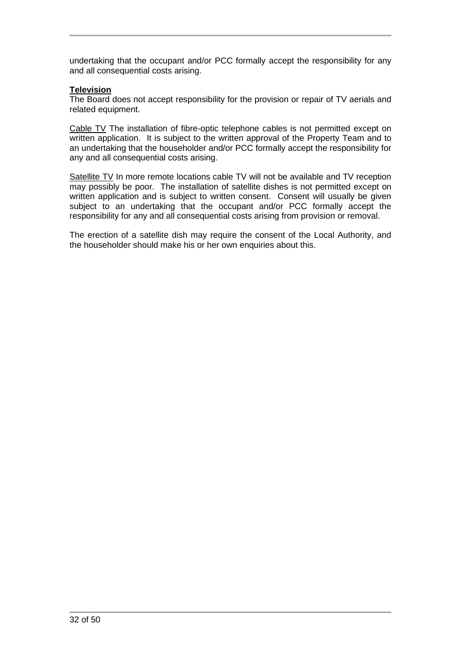undertaking that the occupant and/or PCC formally accept the responsibility for any and all consequential costs arising.

#### **Television**

The Board does not accept responsibility for the provision or repair of TV aerials and related equipment.

Cable TV The installation of fibre-optic telephone cables is not permitted except on written application. It is subject to the written approval of the Property Team and to an undertaking that the householder and/or PCC formally accept the responsibility for any and all consequential costs arising.

Satellite TV In more remote locations cable TV will not be available and TV reception may possibly be poor. The installation of satellite dishes is not permitted except on written application and is subject to written consent. Consent will usually be given subject to an undertaking that the occupant and/or PCC formally accept the responsibility for any and all consequential costs arising from provision or removal.

The erection of a satellite dish may require the consent of the Local Authority, and the householder should make his or her own enquiries about this.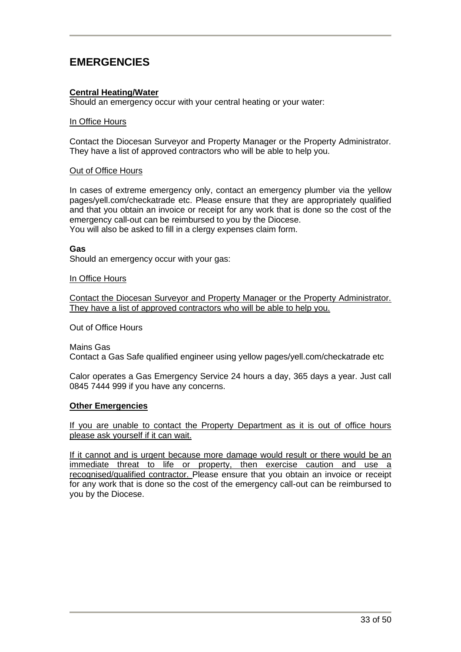# **EMERGENCIES**

#### **Central Heating/Water**

Should an emergency occur with your central heating or your water:

#### In Office Hours

Contact the Diocesan Surveyor and Property Manager or the Property Administrator. They have a list of approved contractors who will be able to help you.

#### Out of Office Hours

In cases of extreme emergency only, contact an emergency plumber via the yellow pages/yell.com/checkatrade etc. Please ensure that they are appropriately qualified and that you obtain an invoice or receipt for any work that is done so the cost of the emergency call-out can be reimbursed to you by the Diocese. You will also be asked to fill in a clergy expenses claim form.

#### **Gas**

Should an emergency occur with your gas:

#### In Office Hours

Contact the Diocesan Surveyor and Property Manager or the Property Administrator. They have a list of approved contractors who will be able to help you.

Out of Office Hours

Mains Gas Contact a Gas Safe qualified engineer using yellow pages/yell.com/checkatrade etc

Calor operates a Gas Emergency Service 24 hours a day, 365 days a year. Just call 0845 7444 999 if you have any concerns.

#### **Other Emergencies**

If you are unable to contact the Property Department as it is out of office hours please ask yourself if it can wait.

If it cannot and is urgent because more damage would result or there would be an immediate threat to life or property, then exercise caution and use a recognised/qualified contractor. Please ensure that you obtain an invoice or receipt for any work that is done so the cost of the emergency call-out can be reimbursed to you by the Diocese.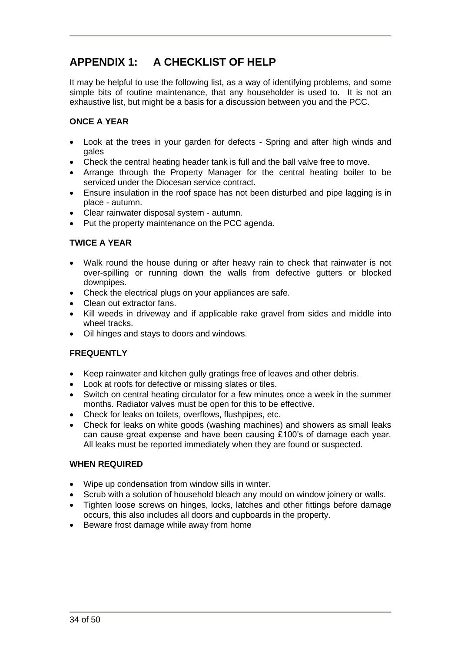# **APPENDIX 1: A CHECKLIST OF HELP**

It may be helpful to use the following list, as a way of identifying problems, and some simple bits of routine maintenance, that any householder is used to. It is not an exhaustive list, but might be a basis for a discussion between you and the PCC.

### **ONCE A YEAR**

- Look at the trees in your garden for defects Spring and after high winds and gales
- Check the central heating header tank is full and the ball valve free to move.
- Arrange through the Property Manager for the central heating boiler to be serviced under the Diocesan service contract.
- Ensure insulation in the roof space has not been disturbed and pipe lagging is in place - autumn.
- Clear rainwater disposal system autumn.
- Put the property maintenance on the PCC agenda.

#### **TWICE A YEAR**

- Walk round the house during or after heavy rain to check that rainwater is not over-spilling or running down the walls from defective gutters or blocked downpipes.
- Check the electrical plugs on your appliances are safe.
- Clean out extractor fans.
- Kill weeds in driveway and if applicable rake gravel from sides and middle into wheel tracks.
- Oil hinges and stays to doors and windows.

#### **FREQUENTLY**

- Keep rainwater and kitchen gully gratings free of leaves and other debris.
- Look at roofs for defective or missing slates or tiles.
- Switch on central heating circulator for a few minutes once a week in the summer months. Radiator valves must be open for this to be effective.
- Check for leaks on toilets, overflows, flushpipes, etc.
- Check for leaks on white goods (washing machines) and showers as small leaks can cause great expense and have been causing £100's of damage each year. All leaks must be reported immediately when they are found or suspected.

#### **WHEN REQUIRED**

- Wipe up condensation from window sills in winter.
- Scrub with a solution of household bleach any mould on window joinery or walls.
- Tighten loose screws on hinges, locks, latches and other fittings before damage occurs, this also includes all doors and cupboards in the property.
- Beware frost damage while away from home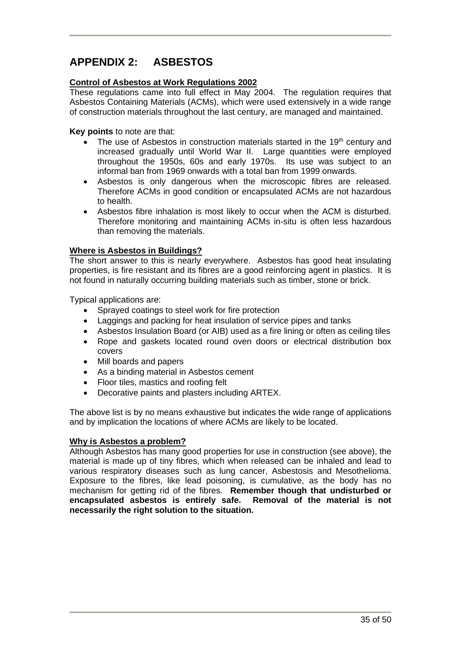# **APPENDIX 2: ASBESTOS**

#### **Control of Asbestos at Work Regulations 2002**

These regulations came into full effect in May 2004. The regulation requires that Asbestos Containing Materials (ACMs), which were used extensively in a wide range of construction materials throughout the last century, are managed and maintained.

#### **Key points** to note are that:

- The use of Asbestos in construction materials started in the 19<sup>th</sup> century and increased gradually until World War II. Large quantities were employed throughout the 1950s, 60s and early 1970s. Its use was subject to an informal ban from 1969 onwards with a total ban from 1999 onwards.
- Asbestos is only dangerous when the microscopic fibres are released. Therefore ACMs in good condition or encapsulated ACMs are not hazardous to health.
- Asbestos fibre inhalation is most likely to occur when the ACM is disturbed. Therefore monitoring and maintaining ACMs in-situ is often less hazardous than removing the materials.

#### **Where is Asbestos in Buildings?**

The short answer to this is nearly everywhere. Asbestos has good heat insulating properties, is fire resistant and its fibres are a good reinforcing agent in plastics. It is not found in naturally occurring building materials such as timber, stone or brick.

Typical applications are:

- Sprayed coatings to steel work for fire protection
- Laggings and packing for heat insulation of service pipes and tanks
- Asbestos Insulation Board (or AIB) used as a fire lining or often as ceiling tiles
- Rope and gaskets located round oven doors or electrical distribution box covers
- Mill boards and papers
- As a binding material in Asbestos cement
- Floor tiles, mastics and roofing felt
- Decorative paints and plasters including ARTEX.

The above list is by no means exhaustive but indicates the wide range of applications and by implication the locations of where ACMs are likely to be located.

#### **Why is Asbestos a problem?**

Although Asbestos has many good properties for use in construction (see above), the material is made up of tiny fibres, which when released can be inhaled and lead to various respiratory diseases such as lung cancer, Asbestosis and Mesothelioma. Exposure to the fibres, like lead poisoning, is cumulative, as the body has no mechanism for getting rid of the fibres. **Remember though that undisturbed or encapsulated asbestos is entirely safe. Removal of the material is not necessarily the right solution to the situation.**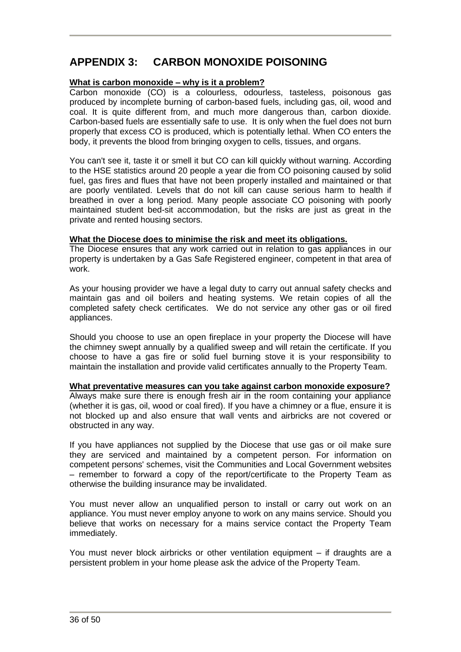# **APPENDIX 3: CARBON MONOXIDE POISONING**

#### **What is carbon monoxide – why is it a problem?**

Carbon monoxide (CO) is a colourless, odourless, tasteless, poisonous gas produced by incomplete burning of carbon-based fuels, including gas, oil, wood and coal. It is quite different from, and much more dangerous than, carbon dioxide. Carbon-based fuels are essentially safe to use. It is only when the fuel does not burn properly that excess CO is produced, which is potentially lethal. When CO enters the body, it prevents the blood from bringing oxygen to cells, tissues, and organs.

You can't see it, taste it or smell it but CO can kill quickly without warning. According to the HSE statistics around 20 people a year die from CO poisoning caused by solid fuel, gas fires and flues that have not been properly installed and maintained or that are poorly ventilated. Levels that do not kill can cause serious harm to health if breathed in over a long period. Many people associate CO poisoning with poorly maintained student bed-sit accommodation, but the risks are just as great in the private and rented housing sectors.

#### **What the Diocese does to minimise the risk and meet its obligations.**

The Diocese ensures that any work carried out in relation to gas appliances in our property is undertaken by a Gas Safe Registered engineer, competent in that area of work.

As your housing provider we have a legal duty to carry out annual safety checks and maintain gas and oil boilers and heating systems. We retain copies of all the completed safety check certificates. We do not service any other gas or oil fired appliances.

Should you choose to use an open fireplace in your property the Diocese will have the chimney swept annually by a qualified sweep and will retain the certificate. If you choose to have a gas fire or solid fuel burning stove it is your responsibility to maintain the installation and provide valid certificates annually to the Property Team.

**What preventative measures can you take against carbon monoxide exposure?** Always make sure there is enough fresh air in the room containing your appliance (whether it is gas, oil, wood or coal fired). If you have a chimney or a flue, ensure it is not blocked up and also ensure that wall vents and airbricks are not covered or obstructed in any way.

If you have appliances not supplied by the Diocese that use gas or oil make sure they are serviced and maintained by a competent person. For information on competent persons' schemes, visit the Communities and Local Government websites – remember to forward a copy of the report/certificate to the Property Team as otherwise the building insurance may be invalidated.

You must never allow an unqualified person to install or carry out work on an appliance. You must never employ anyone to work on any mains service. Should you believe that works on necessary for a mains service contact the Property Team immediately.

You must never block airbricks or other ventilation equipment – if draughts are a persistent problem in your home please ask the advice of the Property Team.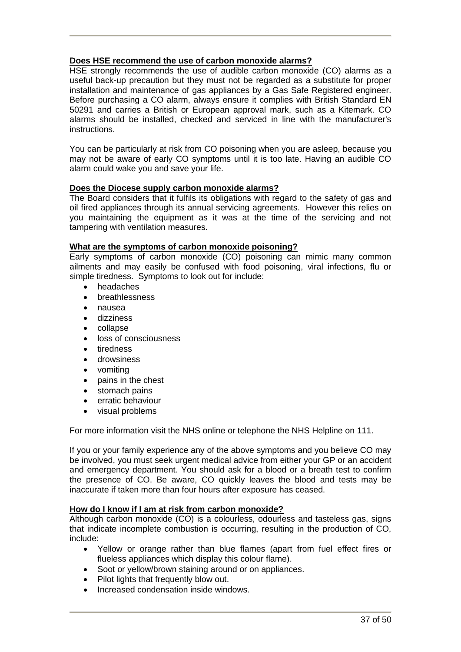#### **Does HSE recommend the use of carbon monoxide alarms?**

HSE strongly recommends the use of audible carbon monoxide (CO) alarms as a useful back-up precaution but they must not be regarded as a substitute for proper installation and maintenance of gas appliances by a Gas Safe Registered engineer. Before purchasing a CO alarm, always ensure it complies with British Standard EN 50291 and carries a British or European approval mark, such as a Kitemark. CO alarms should be installed, checked and serviced in line with the manufacturer's instructions.

You can be particularly at risk from CO poisoning when you are asleep, because you may not be aware of early CO symptoms until it is too late. Having an audible CO alarm could wake you and save your life.

#### **Does the Diocese supply carbon monoxide alarms?**

The Board considers that it fulfils its obligations with regard to the safety of gas and oil fired appliances through its annual servicing agreements. However this relies on you maintaining the equipment as it was at the time of the servicing and not tampering with ventilation measures.

#### **What are the symptoms of carbon monoxide poisoning?**

Early symptoms of carbon monoxide (CO) poisoning can mimic many common ailments and may easily be confused with food poisoning, viral infections, flu or simple tiredness. Symptoms to look out for include:

- headaches
- breathlessness
- nausea
- dizziness
- collapse
- loss of consciousness
- tiredness
- drowsiness
- vomiting
- pains in the chest
- stomach pains
- erratic behaviour
- visual problems

For more information visit the NHS online or telephone the NHS Helpline on 111.

If you or your family experience any of the above symptoms and you believe CO may be involved, you must seek urgent medical advice from either your GP or an accident and emergency department. You should ask for a blood or a breath test to confirm the presence of CO. Be aware, CO quickly leaves the blood and tests may be inaccurate if taken more than four hours after exposure has ceased.

#### **How do I know if I am at risk from carbon monoxide?**

Although carbon monoxide (CO) is a colourless, odourless and tasteless gas, signs that indicate incomplete combustion is occurring, resulting in the production of CO, include:

- Yellow or orange rather than blue flames (apart from fuel effect fires or flueless appliances which display this colour flame).
- Soot or vellow/brown staining around or on appliances.
- Pilot lights that frequently blow out.
- Increased condensation inside windows.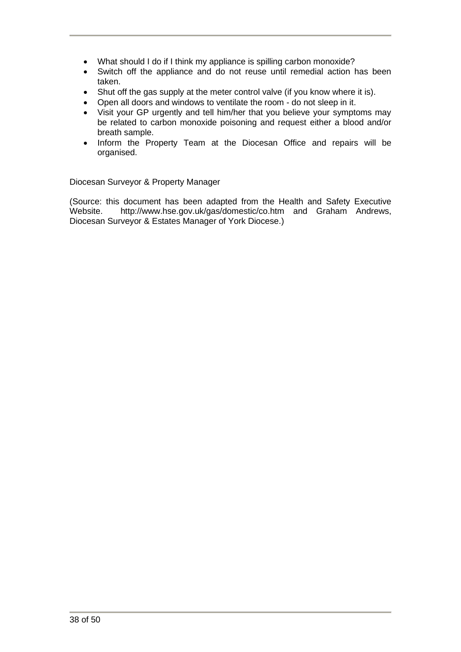- What should I do if I think my appliance is spilling carbon monoxide?
- Switch off the appliance and do not reuse until remedial action has been taken.
- Shut off the gas supply at the meter control valve (if you know where it is).
- Open all doors and windows to ventilate the room do not sleep in it.
- Visit your GP urgently and tell him/her that you believe your symptoms may be related to carbon monoxide poisoning and request either a blood and/or breath sample.
- Inform the Property Team at the Diocesan Office and repairs will be organised.

Diocesan Surveyor & Property Manager

(Source: this document has been adapted from the Health and Safety Executive Website. <http://www.hse.gov.uk/gas/domestic/co.htm> and Graham Andrews, Diocesan Surveyor & Estates Manager of York Diocese.)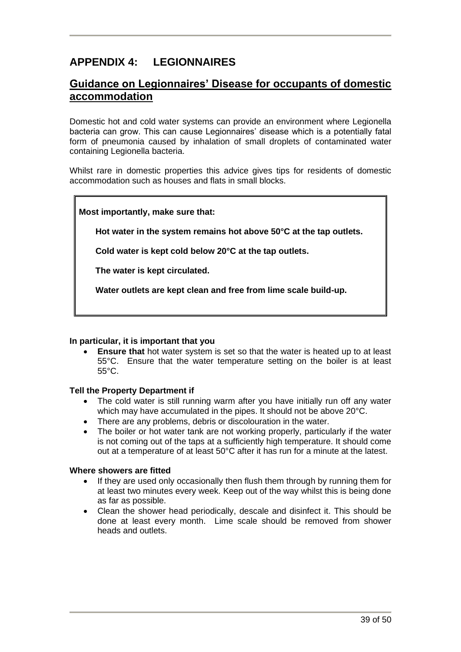# **APPENDIX 4: LEGIONNAIRES**

### **Guidance on Legionnaires' Disease for occupants of domestic accommodation**

Domestic hot and cold water systems can provide an environment where Legionella bacteria can grow. This can cause Legionnaires' disease which is a potentially fatal form of pneumonia caused by inhalation of small droplets of contaminated water containing Legionella bacteria.

Whilst rare in domestic properties this advice gives tips for residents of domestic accommodation such as houses and flats in small blocks.

#### **Most importantly, make sure that:**

 **Hot water in the system remains hot above 50°C at the tap outlets.**

 **Cold water is kept cold below 20°C at the tap outlets.**

 **The water is kept circulated.**

 **Water outlets are kept clean and free from lime scale build-up.**

#### **In particular, it is important that you**

**Ensure that** hot water system is set so that the water is heated up to at least 55°C. Ensure that the water temperature setting on the boiler is at least 55°C.

#### **Tell the Property Department if**

- The cold water is still running warm after you have initially run off any water which may have accumulated in the pipes. It should not be above 20°C.
- There are any problems, debris or discolouration in the water.
- The boiler or hot water tank are not working properly, particularly if the water is not coming out of the taps at a sufficiently high temperature. It should come out at a temperature of at least 50°C after it has run for a minute at the latest.

#### **Where showers are fitted**

- If they are used only occasionally then flush them through by running them for at least two minutes every week. Keep out of the way whilst this is being done as far as possible.
- Clean the shower head periodically, descale and disinfect it. This should be done at least every month. Lime scale should be removed from shower heads and outlets.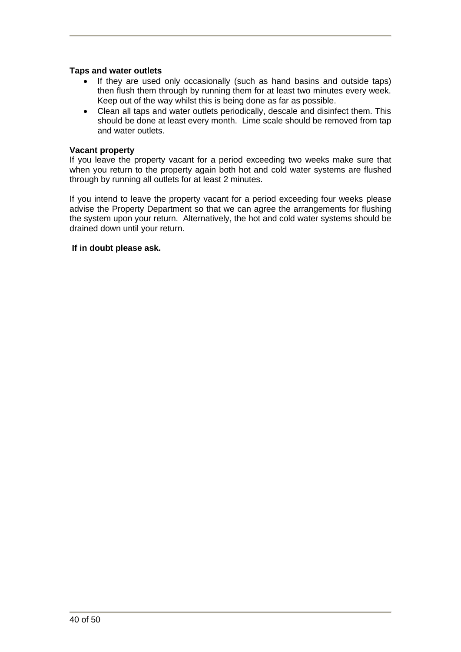#### **Taps and water outlets**

- If they are used only occasionally (such as hand basins and outside taps) then flush them through by running them for at least two minutes every week. Keep out of the way whilst this is being done as far as possible.
- Clean all taps and water outlets periodically, descale and disinfect them. This should be done at least every month. Lime scale should be removed from tap and water outlets.

#### **Vacant property**

If you leave the property vacant for a period exceeding two weeks make sure that when you return to the property again both hot and cold water systems are flushed through by running all outlets for at least 2 minutes.

If you intend to leave the property vacant for a period exceeding four weeks please advise the Property Department so that we can agree the arrangements for flushing the system upon your return. Alternatively, the hot and cold water systems should be drained down until your return.

#### **If in doubt please ask.**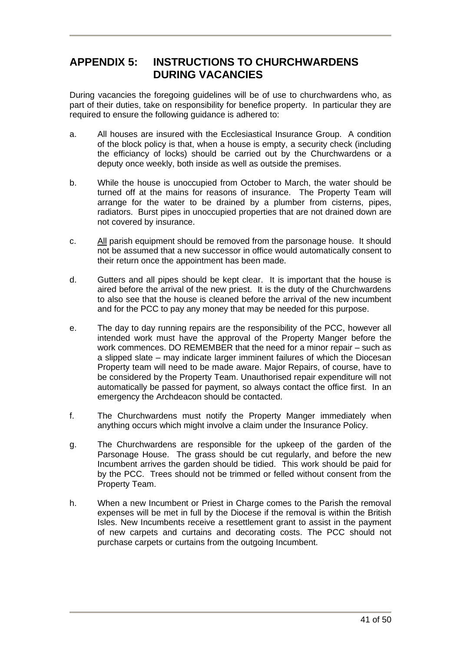### **APPENDIX 5: INSTRUCTIONS TO CHURCHWARDENS DURING VACANCIES**

During vacancies the foregoing guidelines will be of use to churchwardens who, as part of their duties, take on responsibility for benefice property. In particular they are required to ensure the following guidance is adhered to:

- a. All houses are insured with the Ecclesiastical Insurance Group. A condition of the block policy is that, when a house is empty, a security check (including the efficiancy of locks) should be carried out by the Churchwardens or a deputy once weekly, both inside as well as outside the premises.
- b. While the house is unoccupied from October to March, the water should be turned off at the mains for reasons of insurance. The Property Team will arrange for the water to be drained by a plumber from cisterns, pipes, radiators. Burst pipes in unoccupied properties that are not drained down are not covered by insurance.
- c. All parish equipment should be removed from the parsonage house. It should not be assumed that a new successor in office would automatically consent to their return once the appointment has been made.
- d. Gutters and all pipes should be kept clear. It is important that the house is aired before the arrival of the new priest. It is the duty of the Churchwardens to also see that the house is cleaned before the arrival of the new incumbent and for the PCC to pay any money that may be needed for this purpose.
- e. The day to day running repairs are the responsibility of the PCC, however all intended work must have the approval of the Property Manger before the work commences. DO REMEMBER that the need for a minor repair – such as a slipped slate – may indicate larger imminent failures of which the Diocesan Property team will need to be made aware. Major Repairs, of course, have to be considered by the Property Team. Unauthorised repair expenditure will not automatically be passed for payment, so always contact the office first. In an emergency the Archdeacon should be contacted.
- f. The Churchwardens must notify the Property Manger immediately when anything occurs which might involve a claim under the Insurance Policy.
- g. The Churchwardens are responsible for the upkeep of the garden of the Parsonage House. The grass should be cut regularly, and before the new Incumbent arrives the garden should be tidied. This work should be paid for by the PCC. Trees should not be trimmed or felled without consent from the Property Team.
- h. When a new Incumbent or Priest in Charge comes to the Parish the removal expenses will be met in full by the Diocese if the removal is within the British Isles. New Incumbents receive a resettlement grant to assist in the payment of new carpets and curtains and decorating costs. The PCC should not purchase carpets or curtains from the outgoing Incumbent.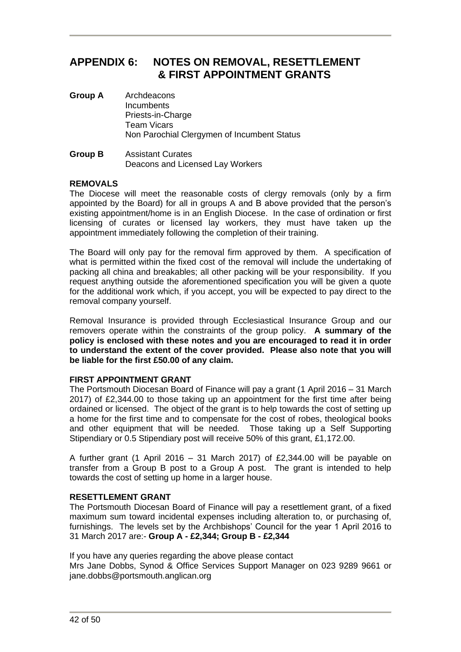### **APPENDIX 6: NOTES ON REMOVAL, RESETTLEMENT & FIRST APPOINTMENT GRANTS**

- **Group A** Archdeacons **Incumbents** Priests-in-Charge Team Vicars Non Parochial Clergymen of Incumbent Status
- **Group B** Assistant Curates Deacons and Licensed Lay Workers

#### **REMOVALS**

The Diocese will meet the reasonable costs of clergy removals (only by a firm appointed by the Board) for all in groups A and B above provided that the person's existing appointment/home is in an English Diocese. In the case of ordination or first licensing of curates or licensed lay workers, they must have taken up the appointment immediately following the completion of their training.

The Board will only pay for the removal firm approved by them. A specification of what is permitted within the fixed cost of the removal will include the undertaking of packing all china and breakables; all other packing will be your responsibility. If you request anything outside the aforementioned specification you will be given a quote for the additional work which, if you accept, you will be expected to pay direct to the removal company yourself.

Removal Insurance is provided through Ecclesiastical Insurance Group and our removers operate within the constraints of the group policy. **A summary of the policy is enclosed with these notes and you are encouraged to read it in order to understand the extent of the cover provided. Please also note that you will be liable for the first £50.00 of any claim.**

#### **FIRST APPOINTMENT GRANT**

The Portsmouth Diocesan Board of Finance will pay a grant (1 April 2016 – 31 March 2017) of £2,344.00 to those taking up an appointment for the first time after being ordained or licensed. The object of the grant is to help towards the cost of setting up a home for the first time and to compensate for the cost of robes, theological books and other equipment that will be needed. Those taking up a Self Supporting Stipendiary or 0.5 Stipendiary post will receive 50% of this grant, £1,172.00.

A further grant (1 April 2016 – 31 March 2017) of £2,344.00 will be payable on transfer from a Group B post to a Group A post. The grant is intended to help towards the cost of setting up home in a larger house.

#### **RESETTI EMENT GRANT**

The Portsmouth Diocesan Board of Finance will pay a resettlement grant, of a fixed maximum sum toward incidental expenses including alteration to, or purchasing of, furnishings. The levels set by the Archbishops' Council for the year 1 April 2016 to 31 March 2017 are:- **Group A - £2,344; Group B - £2,344**

If you have any queries regarding the above please contact

Mrs Jane Dobbs, Synod & Office Services Support Manager on 023 9289 9661 or jane.dobbs@portsmouth.anglican.org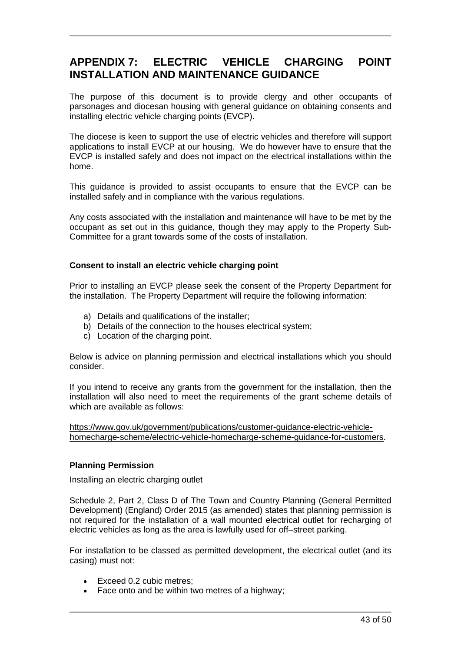# **APPENDIX 7: ELECTRIC VEHICLE CHARGING POINT INSTALLATION AND MAINTENANCE GUIDANCE**

The purpose of this document is to provide clergy and other occupants of parsonages and diocesan housing with general guidance on obtaining consents and installing electric vehicle charging points (EVCP).

The diocese is keen to support the use of electric vehicles and therefore will support applications to install EVCP at our housing. We do however have to ensure that the EVCP is installed safely and does not impact on the electrical installations within the home.

This guidance is provided to assist occupants to ensure that the EVCP can be installed safely and in compliance with the various regulations.

Any costs associated with the installation and maintenance will have to be met by the occupant as set out in this guidance, though they may apply to the Property Sub-Committee for a grant towards some of the costs of installation.

#### **Consent to install an electric vehicle charging point**

Prior to installing an EVCP please seek the consent of the Property Department for the installation. The Property Department will require the following information:

- a) Details and qualifications of the installer;
- b) Details of the connection to the houses electrical system;
- c) Location of the charging point.

Below is advice on planning permission and electrical installations which you should consider.

If you intend to receive any grants from the government for the installation, then the installation will also need to meet the requirements of the grant scheme details of which are available as follows:

[https://www.gov.uk/government/publications/customer-guidance-electric-vehicle](https://www.gov.uk/government/publications/customer-guidance-electric-vehicle-homecharge-scheme/electric-vehicle-homecharge-scheme-guidance-for-customers)[homecharge-scheme/electric-vehicle-homecharge-scheme-guidance-for-customers.](https://www.gov.uk/government/publications/customer-guidance-electric-vehicle-homecharge-scheme/electric-vehicle-homecharge-scheme-guidance-for-customers)

#### **Planning Permission**

Installing an electric charging outlet

Schedule 2, Part 2, Class D of The Town and Country Planning (General Permitted Development) (England) Order 2015 (as amended) states that planning permission is not required for the installation of a wall mounted electrical outlet for recharging of electric vehicles as long as the area is lawfully used for off–street parking.

For installation to be classed as permitted development, the electrical outlet (and its casing) must not:

- Exceed 0.2 cubic metres;
- Face onto and be within two metres of a highway;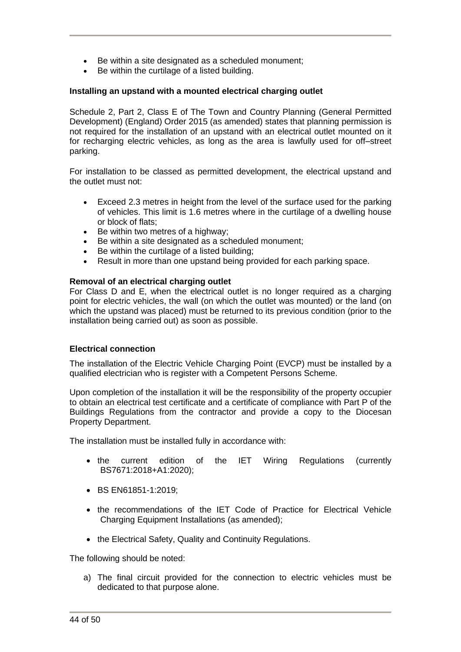- Be within a site designated as a scheduled monument;
- Be within the curtilage of a listed building.

#### **Installing an upstand with a mounted electrical charging outlet**

Schedule 2, Part 2, Class E of The Town and Country Planning (General Permitted Development) (England) Order 2015 (as amended) states that planning permission is not required for the installation of an upstand with an electrical outlet mounted on it for recharging electric vehicles, as long as the area is lawfully used for off–street parking.

For installation to be classed as permitted development, the electrical upstand and the outlet must not:

- Exceed 2.3 metres in height from the level of the surface used for the parking of vehicles. This limit is 1.6 metres where in the curtilage of a dwelling house or block of flats;
- Be within two metres of a highway;
- Be within a site designated as a scheduled monument;
- Be within the curtilage of a listed building;
- Result in more than one upstand being provided for each parking space.

#### **Removal of an electrical charging outlet**

For Class D and E, when the electrical outlet is no longer required as a charging point for electric vehicles, the wall (on which the outlet was mounted) or the land (on which the upstand was placed) must be returned to its previous condition (prior to the installation being carried out) as soon as possible.

#### **Electrical connection**

The installation of the Electric Vehicle Charging Point (EVCP) must be installed by a qualified electrician who is register with a Competent Persons Scheme.

Upon completion of the installation it will be the responsibility of the property occupier to obtain an electrical test certificate and a certificate of compliance with Part P of the Buildings Regulations from the contractor and provide a copy to the Diocesan Property Department.

The installation must be installed fully in accordance with:

- the current edition of the IET Wiring Regulations (currently BS7671:2018+A1:2020);
- BS EN61851-1:2019;
- the recommendations of the IET Code of Practice for Electrical Vehicle Charging Equipment Installations (as amended);
- the Electrical Safety, Quality and Continuity Regulations.

The following should be noted:

a) The final circuit provided for the connection to electric vehicles must be dedicated to that purpose alone.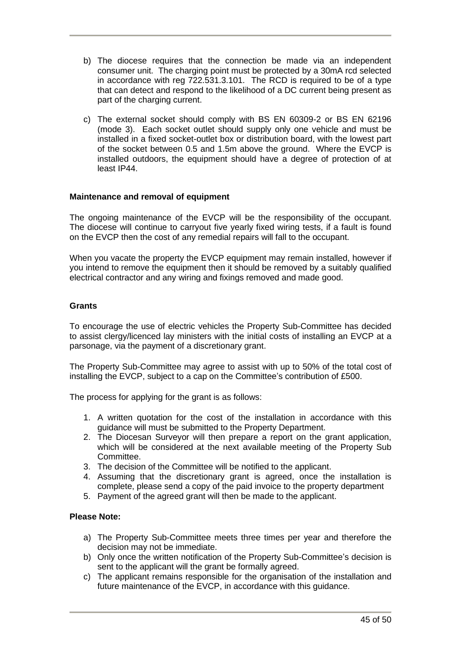- b) The diocese requires that the connection be made via an independent consumer unit. The charging point must be protected by a 30mA rcd selected in accordance with reg 722.531.3.101. The RCD is required to be of a type that can detect and respond to the likelihood of a DC current being present as part of the charging current.
- c) The external socket should comply with BS EN 60309-2 or BS EN 62196 (mode 3). Each socket outlet should supply only one vehicle and must be installed in a fixed socket-outlet box or distribution board, with the lowest part of the socket between 0.5 and 1.5m above the ground. Where the EVCP is installed outdoors, the equipment should have a degree of protection of at least IP44.

#### **Maintenance and removal of equipment**

The ongoing maintenance of the EVCP will be the responsibility of the occupant. The diocese will continue to carryout five yearly fixed wiring tests, if a fault is found on the EVCP then the cost of any remedial repairs will fall to the occupant.

When you vacate the property the EVCP equipment may remain installed, however if you intend to remove the equipment then it should be removed by a suitably qualified electrical contractor and any wiring and fixings removed and made good.

#### **Grants**

To encourage the use of electric vehicles the Property Sub-Committee has decided to assist clergy/licenced lay ministers with the initial costs of installing an EVCP at a parsonage, via the payment of a discretionary grant.

The Property Sub-Committee may agree to assist with up to 50% of the total cost of installing the EVCP, subject to a cap on the Committee's contribution of £500.

The process for applying for the grant is as follows:

- 1. A written quotation for the cost of the installation in accordance with this guidance will must be submitted to the Property Department.
- 2. The Diocesan Surveyor will then prepare a report on the grant application, which will be considered at the next available meeting of the Property Sub Committee.
- 3. The decision of the Committee will be notified to the applicant.
- 4. Assuming that the discretionary grant is agreed, once the installation is complete, please send a copy of the paid invoice to the property department
- 5. Payment of the agreed grant will then be made to the applicant.

#### **Please Note:**

- a) The Property Sub-Committee meets three times per year and therefore the decision may not be immediate.
- b) Only once the written notification of the Property Sub-Committee's decision is sent to the applicant will the grant be formally agreed.
- c) The applicant remains responsible for the organisation of the installation and future maintenance of the EVCP, in accordance with this guidance.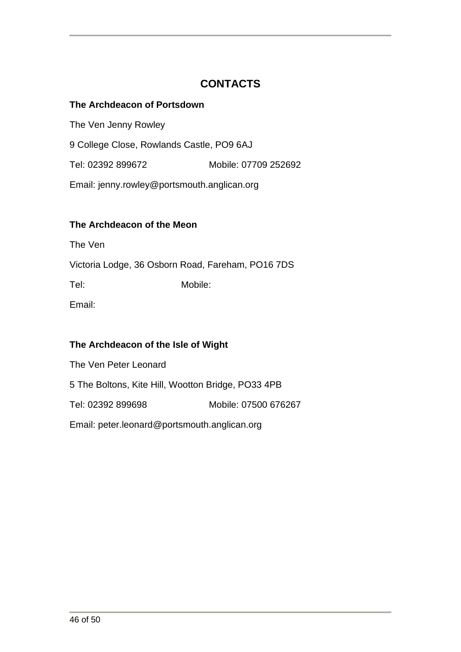# **CONTACTS**

### **The Archdeacon of Portsdown**

The Ven Jenny Rowley 9 College Close, Rowlands Castle, PO9 6AJ Tel: 02392 899672 Mobile: 07709 252692 Email: jenny.rowley@portsmouth.anglican.org

### **The Archdeacon of the Meon**

The Ven

Victoria Lodge, 36 Osborn Road, Fareham, PO16 7DS

Tel: Mobile:

Email:

### **The Archdeacon of the Isle of Wight**

The Ven Peter Leonard 5 The Boltons, Kite Hill, Wootton Bridge, PO33 4PB Tel: 02392 899698 Mobile: 07500 676267 Email: peter.leonard@portsmouth.anglican.org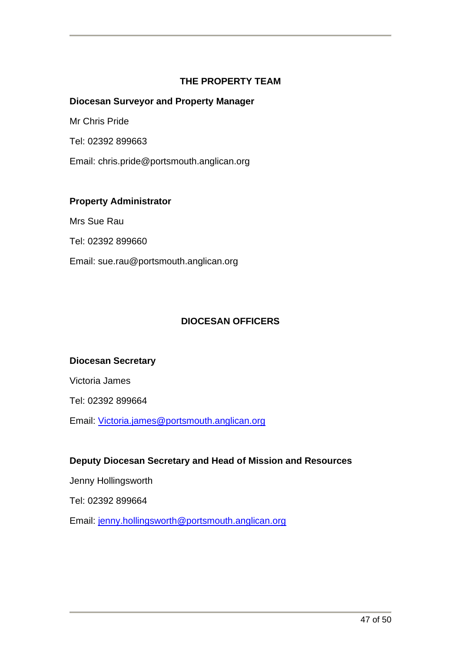### **THE PROPERTY TEAM**

### **Diocesan Surveyor and Property Manager**

Mr Chris Pride

Tel: 02392 899663

Email: chris.pride@portsmouth.anglican.org

### **Property Administrator**

Mrs Sue Rau

Tel: 02392 899660

Email: sue.rau@portsmouth.anglican.org

### **DIOCESAN OFFICERS**

### **Diocesan Secretary**

Victoria James

Tel: 02392 899664

Email: [Victoria.james@portsmouth.anglican.org](mailto:Victoria.james@portsmouth.anglican.org)

### **Deputy Diocesan Secretary and Head of Mission and Resources**

Jenny Hollingsworth

Tel: 02392 899664

Email: [jenny.hollingsworth@portsmouth.anglican.org](mailto:jenny.hollingsworth@portsmouth.anglican.org)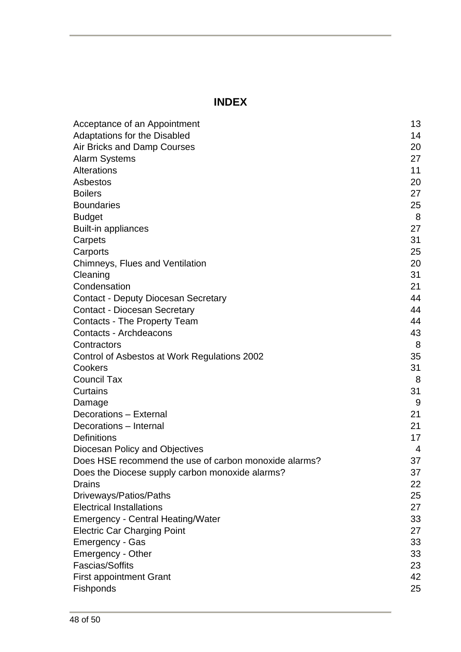# **INDEX**

| Acceptance of an Appointment                          | 13 |
|-------------------------------------------------------|----|
| <b>Adaptations for the Disabled</b>                   | 14 |
| Air Bricks and Damp Courses                           | 20 |
| <b>Alarm Systems</b>                                  | 27 |
| Alterations                                           | 11 |
| Asbestos                                              | 20 |
| <b>Boilers</b>                                        | 27 |
| <b>Boundaries</b>                                     | 25 |
| <b>Budget</b>                                         | 8  |
| <b>Built-in appliances</b>                            | 27 |
| Carpets                                               | 31 |
| Carports                                              | 25 |
| Chimneys, Flues and Ventilation                       | 20 |
| Cleaning                                              | 31 |
| Condensation                                          | 21 |
| <b>Contact - Deputy Diocesan Secretary</b>            | 44 |
| <b>Contact - Diocesan Secretary</b>                   | 44 |
| <b>Contacts - The Property Team</b>                   | 44 |
| Contacts - Archdeacons                                | 43 |
| Contractors                                           | 8  |
| Control of Asbestos at Work Regulations 2002          | 35 |
| Cookers                                               | 31 |
| <b>Council Tax</b>                                    | 8  |
| Curtains                                              | 31 |
| Damage                                                | 9  |
| Decorations - External                                | 21 |
| Decorations - Internal                                | 21 |
| Definitions                                           | 17 |
| Diocesan Policy and Objectives                        | 4  |
| Does HSF recommend the use of carbon monoxide alarms? | 37 |
| Does the Diocese supply carbon monoxide alarms?       | 37 |
| Drains                                                | 22 |
| Driveways/Patios/Paths                                | 25 |
| <b>Electrical Installations</b>                       | 27 |
| <b>Emergency - Central Heating/Water</b>              | 33 |
| <b>Electric Car Charging Point</b>                    | 27 |
| <b>Emergency - Gas</b>                                | 33 |
| Emergency - Other                                     | 33 |
| <b>Fascias/Soffits</b>                                | 23 |
| <b>First appointment Grant</b>                        | 42 |
| Fishponds                                             | 25 |
|                                                       |    |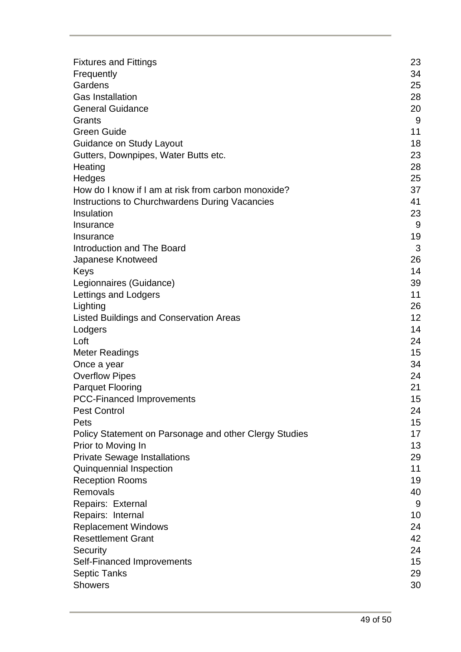| <b>Fixtures and Fittings</b>                           | 23 |
|--------------------------------------------------------|----|
| Frequently                                             | 34 |
| Gardens                                                | 25 |
| <b>Gas Installation</b>                                | 28 |
| <b>General Guidance</b>                                | 20 |
| Grants                                                 | 9  |
| <b>Green Guide</b>                                     | 11 |
|                                                        |    |
| <b>Guidance on Study Layout</b>                        | 18 |
| Gutters, Downpipes, Water Butts etc.                   | 23 |
| Heating                                                | 28 |
| Hedges                                                 | 25 |
| How do I know if I am at risk from carbon monoxide?    | 37 |
| <b>Instructions to Churchwardens During Vacancies</b>  | 41 |
| Insulation                                             | 23 |
| Insurance                                              | 9  |
| Insurance                                              | 19 |
| Introduction and The Board                             | 3  |
| Japanese Knotweed                                      | 26 |
| Keys                                                   | 14 |
| Legionnaires (Guidance)                                | 39 |
| Lettings and Lodgers                                   | 11 |
| Lighting                                               | 26 |
| <b>Listed Buildings and Conservation Areas</b>         | 12 |
| Lodgers                                                | 14 |
| Loft                                                   | 24 |
| <b>Meter Readings</b>                                  | 15 |
| Once a year                                            | 34 |
| <b>Overflow Pipes</b>                                  | 24 |
| <b>Parquet Flooring</b>                                | 21 |
| <b>PCC-Financed Improvements</b>                       | 15 |
| <b>Pest Control</b>                                    | 24 |
| Pets                                                   | 15 |
| Policy Statement on Parsonage and other Clergy Studies | 17 |
| Prior to Moving In                                     | 13 |
| <b>Private Sewage Installations</b>                    | 29 |
| Quinquennial Inspection                                | 11 |
| <b>Reception Rooms</b>                                 | 19 |
| Removals                                               | 40 |
| Repairs: External                                      | 9  |
| Repairs: Internal                                      | 10 |
| <b>Replacement Windows</b>                             | 24 |
| <b>Resettlement Grant</b>                              | 42 |
| Security                                               | 24 |
| Self-Financed Improvements                             | 15 |
| <b>Septic Tanks</b>                                    | 29 |
| <b>Showers</b>                                         | 30 |
|                                                        |    |